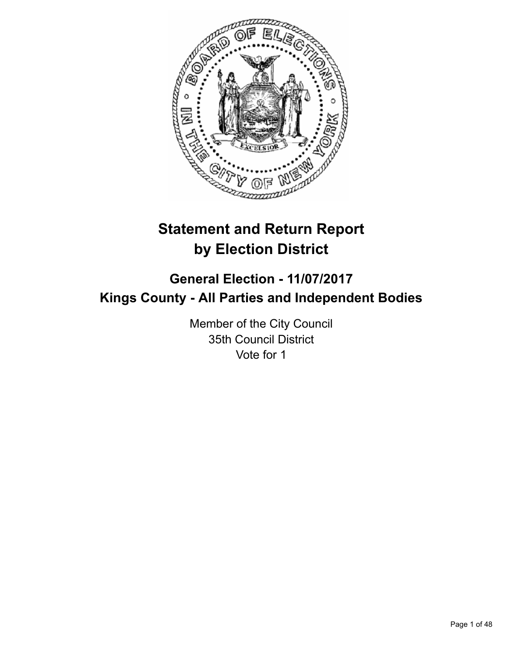

# **Statement and Return Report by Election District**

# **General Election - 11/07/2017 Kings County - All Parties and Independent Bodies**

Member of the City Council 35th Council District Vote for 1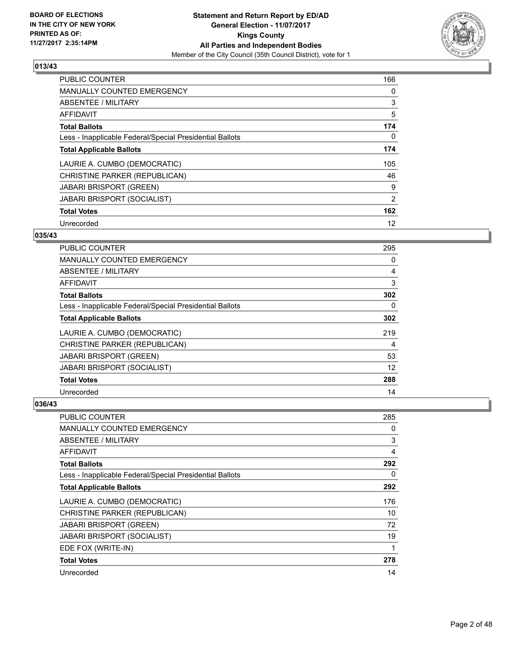

| <b>PUBLIC COUNTER</b>                                    | 166 |
|----------------------------------------------------------|-----|
| <b>MANUALLY COUNTED EMERGENCY</b>                        | 0   |
| ABSENTEE / MILITARY                                      | 3   |
| <b>AFFIDAVIT</b>                                         | 5   |
| <b>Total Ballots</b>                                     | 174 |
| Less - Inapplicable Federal/Special Presidential Ballots | 0   |
| <b>Total Applicable Ballots</b>                          | 174 |
| LAURIE A. CUMBO (DEMOCRATIC)                             | 105 |
| CHRISTINE PARKER (REPUBLICAN)                            | 46  |
| <b>JABARI BRISPORT (GREEN)</b>                           | 9   |
| <b>JABARI BRISPORT (SOCIALIST)</b>                       | 2   |
| <b>Total Votes</b>                                       | 162 |
| Unrecorded                                               | 12  |

# **035/43**

| PUBLIC COUNTER                                           | 295 |
|----------------------------------------------------------|-----|
| <b>MANUALLY COUNTED EMERGENCY</b>                        | 0   |
| ABSENTEE / MILITARY                                      | 4   |
| AFFIDAVIT                                                | 3   |
| <b>Total Ballots</b>                                     | 302 |
| Less - Inapplicable Federal/Special Presidential Ballots | 0   |
| <b>Total Applicable Ballots</b>                          | 302 |
| LAURIE A. CUMBO (DEMOCRATIC)                             | 219 |
| CHRISTINE PARKER (REPUBLICAN)                            | 4   |
| <b>JABARI BRISPORT (GREEN)</b>                           | 53  |
| <b>JABARI BRISPORT (SOCIALIST)</b>                       | 12  |
| <b>Total Votes</b>                                       | 288 |
| Unrecorded                                               | 14  |

| PUBLIC COUNTER                                           | 285 |
|----------------------------------------------------------|-----|
| MANUALLY COUNTED EMERGENCY                               | 0   |
| ABSENTEE / MILITARY                                      | 3   |
| AFFIDAVIT                                                | 4   |
| <b>Total Ballots</b>                                     | 292 |
| Less - Inapplicable Federal/Special Presidential Ballots | 0   |
| <b>Total Applicable Ballots</b>                          | 292 |
| LAURIE A. CUMBO (DEMOCRATIC)                             | 176 |
| CHRISTINE PARKER (REPUBLICAN)                            | 10  |
| <b>JABARI BRISPORT (GREEN)</b>                           | 72  |
| <b>JABARI BRISPORT (SOCIALIST)</b>                       | 19  |
| EDE FOX (WRITE-IN)                                       | 1   |
| <b>Total Votes</b>                                       | 278 |
| Unrecorded                                               | 14  |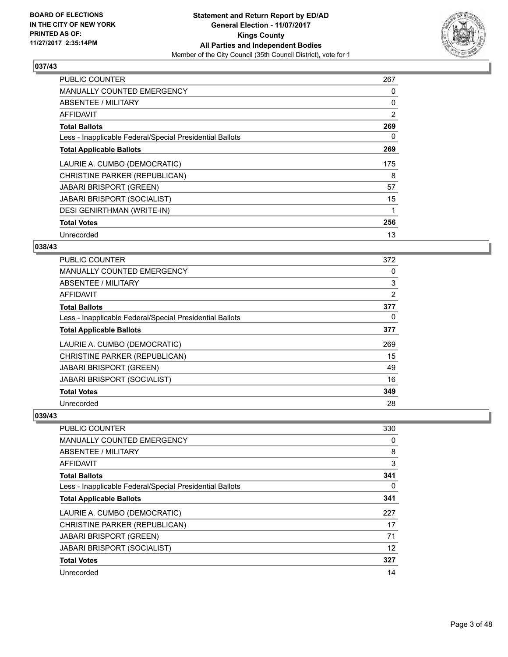

| <b>PUBLIC COUNTER</b>                                    | 267 |
|----------------------------------------------------------|-----|
| <b>MANUALLY COUNTED EMERGENCY</b>                        | 0   |
| ABSENTEE / MILITARY                                      | 0   |
| <b>AFFIDAVIT</b>                                         | 2   |
| <b>Total Ballots</b>                                     | 269 |
| Less - Inapplicable Federal/Special Presidential Ballots | 0   |
| <b>Total Applicable Ballots</b>                          | 269 |
| LAURIE A. CUMBO (DEMOCRATIC)                             | 175 |
| CHRISTINE PARKER (REPUBLICAN)                            | 8   |
| <b>JABARI BRISPORT (GREEN)</b>                           | 57  |
| <b>JABARI BRISPORT (SOCIALIST)</b>                       | 15  |
| <b>DESI GENIRTHMAN (WRITE-IN)</b>                        |     |
| <b>Total Votes</b>                                       | 256 |
| Unrecorded                                               | 13  |

# **038/43**

| <b>PUBLIC COUNTER</b>                                    | 372            |
|----------------------------------------------------------|----------------|
| <b>MANUALLY COUNTED EMERGENCY</b>                        | 0              |
| ABSENTEE / MILITARY                                      | 3              |
| AFFIDAVIT                                                | $\overline{2}$ |
| <b>Total Ballots</b>                                     | 377            |
| Less - Inapplicable Federal/Special Presidential Ballots | 0              |
| <b>Total Applicable Ballots</b>                          | 377            |
| LAURIE A. CUMBO (DEMOCRATIC)                             | 269            |
| CHRISTINE PARKER (REPUBLICAN)                            | 15             |
| <b>JABARI BRISPORT (GREEN)</b>                           | 49             |
| <b>JABARI BRISPORT (SOCIALIST)</b>                       | 16             |
| <b>Total Votes</b>                                       | 349            |
| Unrecorded                                               | 28             |

| <b>PUBLIC COUNTER</b>                                    | 330 |
|----------------------------------------------------------|-----|
| MANUALLY COUNTED EMERGENCY                               | 0   |
| ABSENTEE / MILITARY                                      | 8   |
| AFFIDAVIT                                                | 3   |
| <b>Total Ballots</b>                                     | 341 |
| Less - Inapplicable Federal/Special Presidential Ballots | 0   |
| <b>Total Applicable Ballots</b>                          | 341 |
| LAURIE A. CUMBO (DEMOCRATIC)                             | 227 |
| CHRISTINE PARKER (REPUBLICAN)                            | 17  |
| <b>JABARI BRISPORT (GREEN)</b>                           | 71  |
| <b>JABARI BRISPORT (SOCIALIST)</b>                       | 12  |
| <b>Total Votes</b>                                       | 327 |
| Unrecorded                                               | 14  |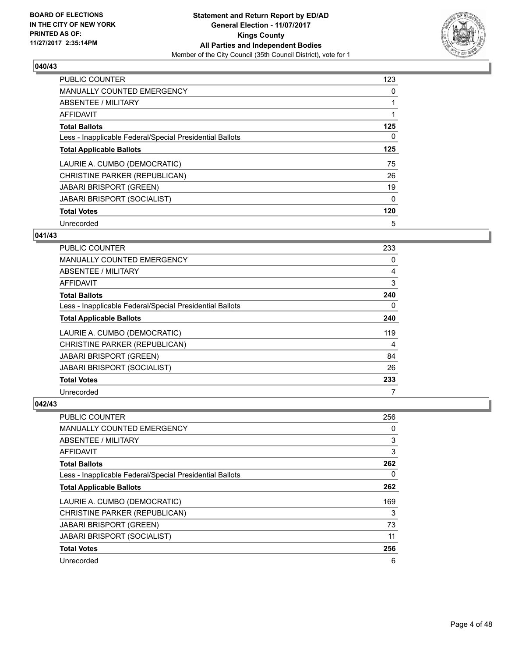

| <b>PUBLIC COUNTER</b>                                    | 123 |
|----------------------------------------------------------|-----|
| <b>MANUALLY COUNTED EMERGENCY</b>                        | 0   |
| ABSENTEE / MILITARY                                      |     |
| <b>AFFIDAVIT</b>                                         |     |
| <b>Total Ballots</b>                                     | 125 |
| Less - Inapplicable Federal/Special Presidential Ballots | 0   |
| <b>Total Applicable Ballots</b>                          | 125 |
| LAURIE A. CUMBO (DEMOCRATIC)                             | 75  |
| CHRISTINE PARKER (REPUBLICAN)                            | 26  |
| <b>JABARI BRISPORT (GREEN)</b>                           | 19  |
| <b>JABARI BRISPORT (SOCIALIST)</b>                       | 0   |
| <b>Total Votes</b>                                       | 120 |
| Unrecorded                                               | 5   |

# **041/43**

| PUBLIC COUNTER                                           | 233 |
|----------------------------------------------------------|-----|
| <b>MANUALLY COUNTED EMERGENCY</b>                        | 0   |
| ABSENTEE / MILITARY                                      | 4   |
| AFFIDAVIT                                                | 3   |
| <b>Total Ballots</b>                                     | 240 |
| Less - Inapplicable Federal/Special Presidential Ballots | 0   |
| <b>Total Applicable Ballots</b>                          | 240 |
| LAURIE A. CUMBO (DEMOCRATIC)                             | 119 |
| CHRISTINE PARKER (REPUBLICAN)                            | 4   |
| <b>JABARI BRISPORT (GREEN)</b>                           | 84  |
| <b>JABARI BRISPORT (SOCIALIST)</b>                       | 26  |
| <b>Total Votes</b>                                       | 233 |
| Unrecorded                                               |     |

| PUBLIC COUNTER                                           | 256 |
|----------------------------------------------------------|-----|
| <b>MANUALLY COUNTED EMERGENCY</b>                        | 0   |
| ABSENTEE / MILITARY                                      | 3   |
| AFFIDAVIT                                                | 3   |
| <b>Total Ballots</b>                                     | 262 |
| Less - Inapplicable Federal/Special Presidential Ballots | 0   |
| <b>Total Applicable Ballots</b>                          | 262 |
| LAURIE A. CUMBO (DEMOCRATIC)                             | 169 |
| CHRISTINE PARKER (REPUBLICAN)                            | 3   |
| <b>JABARI BRISPORT (GREEN)</b>                           | 73  |
| <b>JABARI BRISPORT (SOCIALIST)</b>                       | 11  |
| <b>Total Votes</b>                                       | 256 |
| Unrecorded                                               | 6   |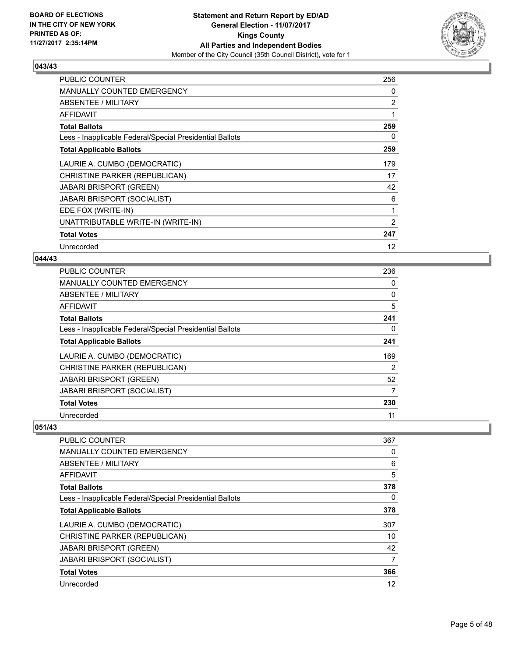

| <b>PUBLIC COUNTER</b>                                    | 256            |
|----------------------------------------------------------|----------------|
| <b>MANUALLY COUNTED EMERGENCY</b>                        | 0              |
| ABSENTEE / MILITARY                                      | $\overline{2}$ |
| AFFIDAVIT                                                | 1              |
| <b>Total Ballots</b>                                     | 259            |
| Less - Inapplicable Federal/Special Presidential Ballots | 0              |
| <b>Total Applicable Ballots</b>                          | 259            |
| LAURIE A. CUMBO (DEMOCRATIC)                             | 179            |
| CHRISTINE PARKER (REPUBLICAN)                            | 17             |
| <b>JABARI BRISPORT (GREEN)</b>                           | 42             |
| <b>JABARI BRISPORT (SOCIALIST)</b>                       | 6              |
| EDE FOX (WRITE-IN)                                       | $\mathbf{1}$   |
| UNATTRIBUTABLE WRITE-IN (WRITE-IN)                       | $\overline{2}$ |
| <b>Total Votes</b>                                       | 247            |
| Unrecorded                                               | 12             |

# **044/43**

| <b>PUBLIC COUNTER</b>                                    | 236 |
|----------------------------------------------------------|-----|
| <b>MANUALLY COUNTED EMERGENCY</b>                        | 0   |
| ABSENTEE / MILITARY                                      | 0   |
| AFFIDAVIT                                                | 5   |
| <b>Total Ballots</b>                                     | 241 |
| Less - Inapplicable Federal/Special Presidential Ballots | 0   |
| <b>Total Applicable Ballots</b>                          | 241 |
| LAURIE A. CUMBO (DEMOCRATIC)                             | 169 |
| CHRISTINE PARKER (REPUBLICAN)                            | 2   |
| <b>JABARI BRISPORT (GREEN)</b>                           | 52  |
| <b>JABARI BRISPORT (SOCIALIST)</b>                       | 7   |
| <b>Total Votes</b>                                       | 230 |
| Unrecorded                                               | 11  |

| <b>PUBLIC COUNTER</b>                                    | 367 |
|----------------------------------------------------------|-----|
| <b>MANUALLY COUNTED EMERGENCY</b>                        | 0   |
| <b>ABSENTEE / MILITARY</b>                               | 6   |
| <b>AFFIDAVIT</b>                                         | 5   |
| <b>Total Ballots</b>                                     | 378 |
| Less - Inapplicable Federal/Special Presidential Ballots | 0   |
| <b>Total Applicable Ballots</b>                          | 378 |
| LAURIE A. CUMBO (DEMOCRATIC)                             | 307 |
| CHRISTINE PARKER (REPUBLICAN)                            | 10  |
| <b>JABARI BRISPORT (GREEN)</b>                           | 42  |
| <b>JABARI BRISPORT (SOCIALIST)</b>                       | 7   |
| <b>Total Votes</b>                                       | 366 |
| Unrecorded                                               | 12  |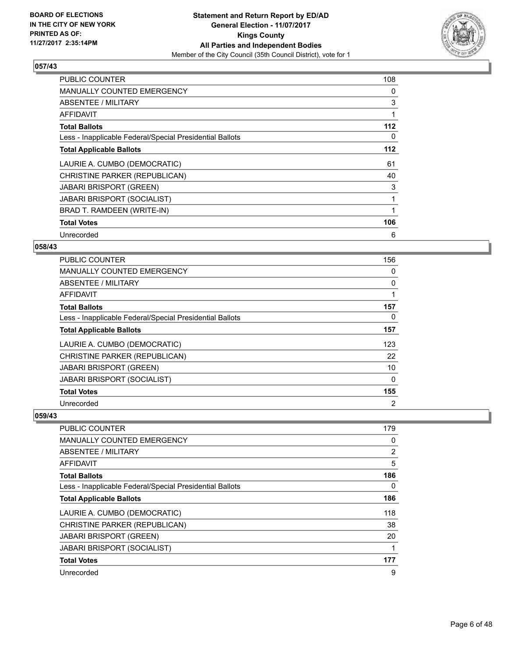

| <b>PUBLIC COUNTER</b>                                    | 108   |
|----------------------------------------------------------|-------|
| <b>MANUALLY COUNTED EMERGENCY</b>                        | 0     |
| ABSENTEE / MILITARY                                      | 3     |
| AFFIDAVIT                                                |       |
| <b>Total Ballots</b>                                     | 112   |
| Less - Inapplicable Federal/Special Presidential Ballots | 0     |
| <b>Total Applicable Ballots</b>                          | $112$ |
| LAURIE A. CUMBO (DEMOCRATIC)                             | 61    |
| CHRISTINE PARKER (REPUBLICAN)                            | 40    |
| <b>JABARI BRISPORT (GREEN)</b>                           | 3     |
| JABARI BRISPORT (SOCIALIST)                              |       |
| BRAD T. RAMDEEN (WRITE-IN)                               |       |
| <b>Total Votes</b>                                       | 106   |
| Unrecorded                                               | 6     |

# **058/43**

| PUBLIC COUNTER                                           | 156 |
|----------------------------------------------------------|-----|
| <b>MANUALLY COUNTED EMERGENCY</b>                        | 0   |
| ABSENTEE / MILITARY                                      | 0   |
| AFFIDAVIT                                                | 1   |
| <b>Total Ballots</b>                                     | 157 |
| Less - Inapplicable Federal/Special Presidential Ballots | 0   |
| <b>Total Applicable Ballots</b>                          | 157 |
| LAURIE A. CUMBO (DEMOCRATIC)                             | 123 |
| CHRISTINE PARKER (REPUBLICAN)                            | 22  |
| <b>JABARI BRISPORT (GREEN)</b>                           | 10  |
| <b>JABARI BRISPORT (SOCIALIST)</b>                       | 0   |
| <b>Total Votes</b>                                       | 155 |
| Unrecorded                                               | 2   |

| <b>PUBLIC COUNTER</b>                                    | 179 |
|----------------------------------------------------------|-----|
| <b>MANUALLY COUNTED EMERGENCY</b>                        | 0   |
| ABSENTEE / MILITARY                                      | 2   |
| AFFIDAVIT                                                | 5   |
| <b>Total Ballots</b>                                     | 186 |
| Less - Inapplicable Federal/Special Presidential Ballots | 0   |
| <b>Total Applicable Ballots</b>                          | 186 |
| LAURIE A. CUMBO (DEMOCRATIC)                             | 118 |
| CHRISTINE PARKER (REPUBLICAN)                            | 38  |
| <b>JABARI BRISPORT (GREEN)</b>                           | 20  |
| <b>JABARI BRISPORT (SOCIALIST)</b>                       |     |
| <b>Total Votes</b>                                       | 177 |
| Unrecorded                                               | 9   |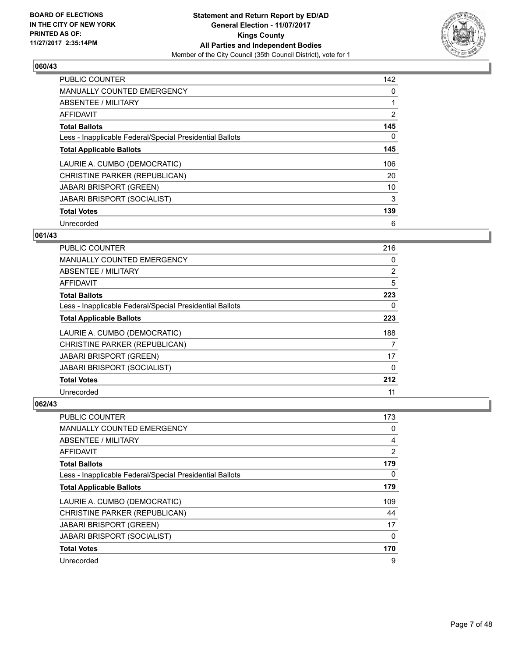

| <b>PUBLIC COUNTER</b>                                    | 142            |
|----------------------------------------------------------|----------------|
| <b>MANUALLY COUNTED EMERGENCY</b>                        | 0              |
| <b>ABSENTEE / MILITARY</b>                               |                |
| <b>AFFIDAVIT</b>                                         | $\overline{2}$ |
| <b>Total Ballots</b>                                     | 145            |
| Less - Inapplicable Federal/Special Presidential Ballots | 0              |
| <b>Total Applicable Ballots</b>                          | 145            |
| LAURIE A. CUMBO (DEMOCRATIC)                             | 106            |
| CHRISTINE PARKER (REPUBLICAN)                            | 20             |
| <b>JABARI BRISPORT (GREEN)</b>                           | 10             |
| <b>JABARI BRISPORT (SOCIALIST)</b>                       | 3              |
| <b>Total Votes</b>                                       | 139            |
| Unrecorded                                               | 6              |

## **061/43**

| PUBLIC COUNTER                                           | 216            |
|----------------------------------------------------------|----------------|
| <b>MANUALLY COUNTED EMERGENCY</b>                        | 0              |
| ABSENTEE / MILITARY                                      | $\overline{2}$ |
| AFFIDAVIT                                                | 5              |
| <b>Total Ballots</b>                                     | 223            |
| Less - Inapplicable Federal/Special Presidential Ballots | 0              |
| <b>Total Applicable Ballots</b>                          | 223            |
| LAURIE A. CUMBO (DEMOCRATIC)                             | 188            |
| CHRISTINE PARKER (REPUBLICAN)                            | 7              |
| <b>JABARI BRISPORT (GREEN)</b>                           | 17             |
| <b>JABARI BRISPORT (SOCIALIST)</b>                       | 0              |
| <b>Total Votes</b>                                       | 212            |
| Unrecorded                                               | 11             |

| <b>PUBLIC COUNTER</b>                                    | 173            |
|----------------------------------------------------------|----------------|
| <b>MANUALLY COUNTED EMERGENCY</b>                        | 0              |
| ABSENTEE / MILITARY                                      | 4              |
| AFFIDAVIT                                                | $\overline{2}$ |
| <b>Total Ballots</b>                                     | 179            |
| Less - Inapplicable Federal/Special Presidential Ballots | 0              |
| <b>Total Applicable Ballots</b>                          | 179            |
| LAURIE A. CUMBO (DEMOCRATIC)                             | 109            |
| CHRISTINE PARKER (REPUBLICAN)                            | 44             |
| <b>JABARI BRISPORT (GREEN)</b>                           | 17             |
| JABARI BRISPORT (SOCIALIST)                              | 0              |
| <b>Total Votes</b>                                       | 170            |
| Unrecorded                                               | 9              |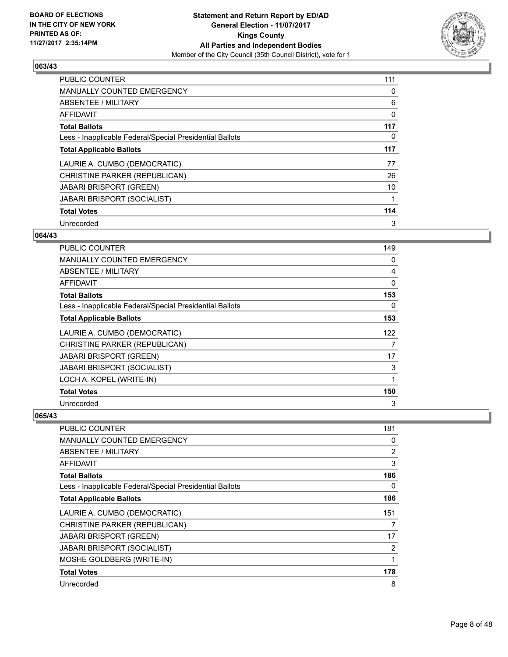

| <b>PUBLIC COUNTER</b>                                    | 111 |
|----------------------------------------------------------|-----|
| <b>MANUALLY COUNTED EMERGENCY</b>                        | 0   |
| ABSENTEE / MILITARY                                      | 6   |
| <b>AFFIDAVIT</b>                                         | 0   |
| <b>Total Ballots</b>                                     | 117 |
| Less - Inapplicable Federal/Special Presidential Ballots | 0   |
| <b>Total Applicable Ballots</b>                          | 117 |
| LAURIE A. CUMBO (DEMOCRATIC)                             | 77  |
| CHRISTINE PARKER (REPUBLICAN)                            | 26  |
| <b>JABARI BRISPORT (GREEN)</b>                           | 10  |
| <b>JABARI BRISPORT (SOCIALIST)</b>                       |     |
| <b>Total Votes</b>                                       | 114 |
| Unrecorded                                               | 3   |

# **064/43**

| <b>PUBLIC COUNTER</b>                                    | 149 |
|----------------------------------------------------------|-----|
| <b>MANUALLY COUNTED EMERGENCY</b>                        | 0   |
| ABSENTEE / MILITARY                                      | 4   |
| AFFIDAVIT                                                | 0   |
| <b>Total Ballots</b>                                     | 153 |
| Less - Inapplicable Federal/Special Presidential Ballots | 0   |
| <b>Total Applicable Ballots</b>                          | 153 |
| LAURIE A. CUMBO (DEMOCRATIC)                             | 122 |
| CHRISTINE PARKER (REPUBLICAN)                            | 7   |
| <b>JABARI BRISPORT (GREEN)</b>                           | 17  |
| JABARI BRISPORT (SOCIALIST)                              | 3   |
| LOCH A. KOPEL (WRITE-IN)                                 | 1   |
| <b>Total Votes</b>                                       | 150 |
| Unrecorded                                               | 3   |

| <b>PUBLIC COUNTER</b>                                    | 181            |
|----------------------------------------------------------|----------------|
| <b>MANUALLY COUNTED EMERGENCY</b>                        | 0              |
| ABSENTEE / MILITARY                                      | $\overline{2}$ |
| AFFIDAVIT                                                | 3              |
| <b>Total Ballots</b>                                     | 186            |
| Less - Inapplicable Federal/Special Presidential Ballots | 0              |
| <b>Total Applicable Ballots</b>                          | 186            |
| LAURIE A. CUMBO (DEMOCRATIC)                             | 151            |
| CHRISTINE PARKER (REPUBLICAN)                            | 7              |
| <b>JABARI BRISPORT (GREEN)</b>                           | 17             |
| JABARI BRISPORT (SOCIALIST)                              | 2              |
| MOSHE GOLDBERG (WRITE-IN)                                |                |
| <b>Total Votes</b>                                       | 178            |
| Unrecorded                                               | 8              |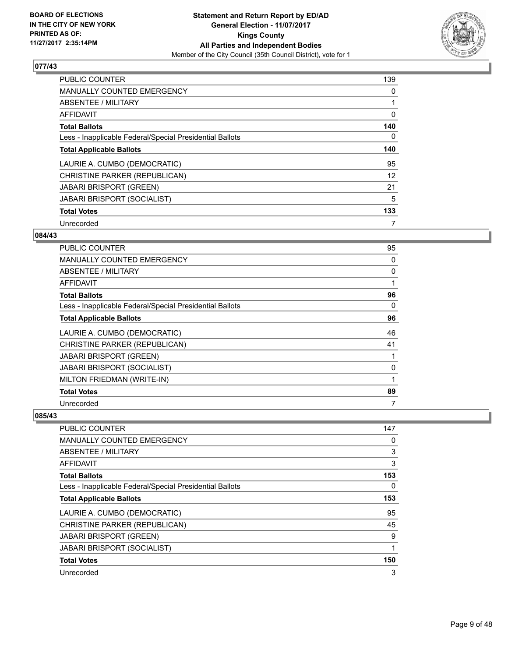

| <b>PUBLIC COUNTER</b>                                    | 139 |
|----------------------------------------------------------|-----|
| <b>MANUALLY COUNTED EMERGENCY</b>                        | 0   |
| ABSENTEE / MILITARY                                      |     |
| <b>AFFIDAVIT</b>                                         | 0   |
| <b>Total Ballots</b>                                     | 140 |
| Less - Inapplicable Federal/Special Presidential Ballots | 0   |
| <b>Total Applicable Ballots</b>                          | 140 |
| LAURIE A. CUMBO (DEMOCRATIC)                             | 95  |
| CHRISTINE PARKER (REPUBLICAN)                            | 12  |
| <b>JABARI BRISPORT (GREEN)</b>                           | 21  |
| <b>JABARI BRISPORT (SOCIALIST)</b>                       | 5   |
| <b>Total Votes</b>                                       | 133 |
| Unrecorded                                               | 7   |

# **084/43**

| PUBLIC COUNTER                                           | 95 |
|----------------------------------------------------------|----|
| <b>MANUALLY COUNTED EMERGENCY</b>                        | 0  |
| ABSENTEE / MILITARY                                      | 0  |
| AFFIDAVIT                                                | 1  |
| <b>Total Ballots</b>                                     | 96 |
| Less - Inapplicable Federal/Special Presidential Ballots | 0  |
| <b>Total Applicable Ballots</b>                          | 96 |
| LAURIE A. CUMBO (DEMOCRATIC)                             | 46 |
| CHRISTINE PARKER (REPUBLICAN)                            | 41 |
| <b>JABARI BRISPORT (GREEN)</b>                           | 1  |
| <b>JABARI BRISPORT (SOCIALIST)</b>                       | 0  |
| MILTON FRIEDMAN (WRITE-IN)                               | 1  |
| <b>Total Votes</b>                                       | 89 |
| Unrecorded                                               | 7  |

| <b>PUBLIC COUNTER</b>                                    | 147 |
|----------------------------------------------------------|-----|
| <b>MANUALLY COUNTED EMERGENCY</b>                        | 0   |
| ABSENTEE / MILITARY                                      | 3   |
| AFFIDAVIT                                                | 3   |
| <b>Total Ballots</b>                                     | 153 |
| Less - Inapplicable Federal/Special Presidential Ballots | 0   |
| <b>Total Applicable Ballots</b>                          | 153 |
| LAURIE A. CUMBO (DEMOCRATIC)                             | 95  |
| CHRISTINE PARKER (REPUBLICAN)                            | 45  |
| <b>JABARI BRISPORT (GREEN)</b>                           | 9   |
| <b>JABARI BRISPORT (SOCIALIST)</b>                       | 1   |
| <b>Total Votes</b>                                       | 150 |
| Unrecorded                                               | 3   |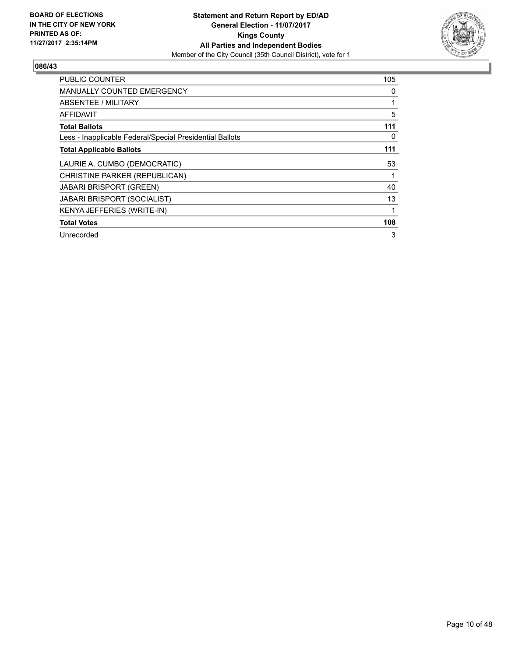

| <b>PUBLIC COUNTER</b>                                    | 105 |
|----------------------------------------------------------|-----|
| <b>MANUALLY COUNTED EMERGENCY</b>                        | 0   |
| <b>ABSENTEE / MILITARY</b>                               |     |
| AFFIDAVIT                                                | 5   |
| <b>Total Ballots</b>                                     | 111 |
| Less - Inapplicable Federal/Special Presidential Ballots | 0   |
| <b>Total Applicable Ballots</b>                          | 111 |
| LAURIE A. CUMBO (DEMOCRATIC)                             | 53  |
| CHRISTINE PARKER (REPUBLICAN)                            |     |
| <b>JABARI BRISPORT (GREEN)</b>                           | 40  |
| JABARI BRISPORT (SOCIALIST)                              | 13  |
| KENYA JEFFERIES (WRITE-IN)                               |     |
| <b>Total Votes</b>                                       | 108 |
| Unrecorded                                               | 3   |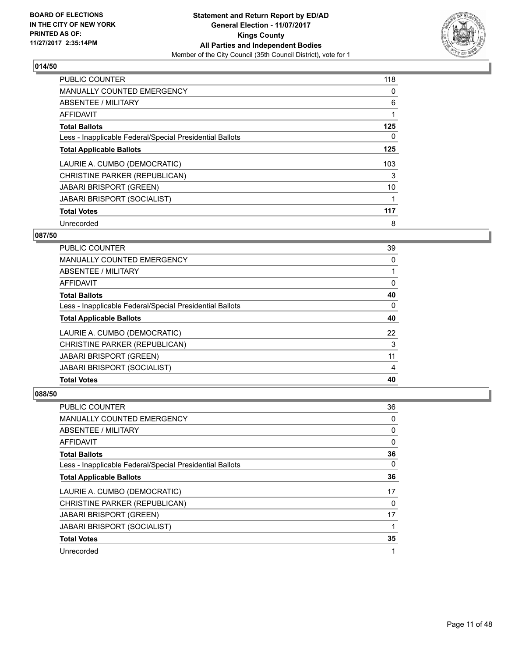

| <b>PUBLIC COUNTER</b>                                    | 118 |
|----------------------------------------------------------|-----|
| <b>MANUALLY COUNTED EMERGENCY</b>                        | 0   |
| ABSENTEE / MILITARY                                      | 6   |
| <b>AFFIDAVIT</b>                                         |     |
| <b>Total Ballots</b>                                     | 125 |
| Less - Inapplicable Federal/Special Presidential Ballots | 0   |
| <b>Total Applicable Ballots</b>                          | 125 |
| LAURIE A. CUMBO (DEMOCRATIC)                             | 103 |
| CHRISTINE PARKER (REPUBLICAN)                            | 3   |
| <b>JABARI BRISPORT (GREEN)</b>                           | 10  |
| <b>JABARI BRISPORT (SOCIALIST)</b>                       |     |
| <b>Total Votes</b>                                       | 117 |
| Unrecorded                                               | 8   |

# **087/50**

| PUBLIC COUNTER                                           | 39 |
|----------------------------------------------------------|----|
| <b>MANUALLY COUNTED EMERGENCY</b>                        | 0  |
| ABSENTEE / MILITARY                                      |    |
| AFFIDAVIT                                                | 0  |
| <b>Total Ballots</b>                                     | 40 |
| Less - Inapplicable Federal/Special Presidential Ballots | 0  |
| <b>Total Applicable Ballots</b>                          | 40 |
| LAURIE A. CUMBO (DEMOCRATIC)                             | 22 |
| CHRISTINE PARKER (REPUBLICAN)                            | 3  |
| <b>JABARI BRISPORT (GREEN)</b>                           | 11 |
| <b>JABARI BRISPORT (SOCIALIST)</b>                       | 4  |
| <b>Total Votes</b>                                       | 40 |

| PUBLIC COUNTER                                           | 36 |
|----------------------------------------------------------|----|
| MANUALLY COUNTED EMERGENCY                               | 0  |
| ABSENTEE / MILITARY                                      | 0  |
| AFFIDAVIT                                                | 0  |
| <b>Total Ballots</b>                                     | 36 |
| Less - Inapplicable Federal/Special Presidential Ballots | 0  |
| <b>Total Applicable Ballots</b>                          | 36 |
| LAURIE A. CUMBO (DEMOCRATIC)                             | 17 |
| CHRISTINE PARKER (REPUBLICAN)                            | 0  |
| <b>JABARI BRISPORT (GREEN)</b>                           | 17 |
| <b>JABARI BRISPORT (SOCIALIST)</b>                       |    |
| <b>Total Votes</b>                                       | 35 |
| Unrecorded                                               | 1  |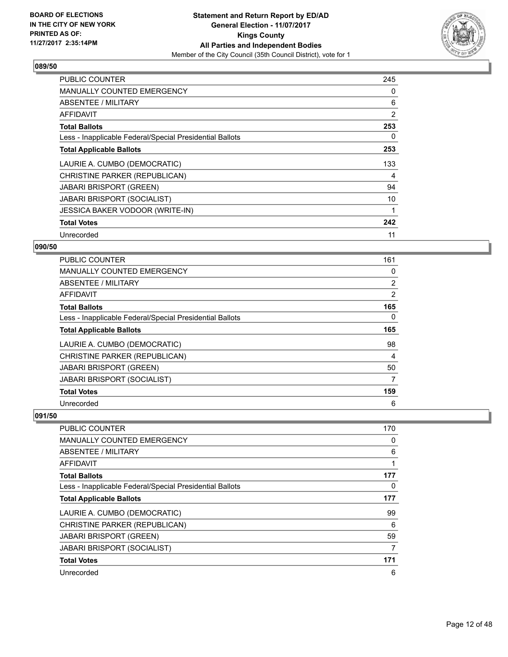

| <b>PUBLIC COUNTER</b>                                    | 245 |
|----------------------------------------------------------|-----|
| <b>MANUALLY COUNTED EMERGENCY</b>                        | 0   |
| ABSENTEE / MILITARY                                      | 6   |
| AFFIDAVIT                                                | 2   |
| <b>Total Ballots</b>                                     | 253 |
| Less - Inapplicable Federal/Special Presidential Ballots | 0   |
| <b>Total Applicable Ballots</b>                          | 253 |
| LAURIE A. CUMBO (DEMOCRATIC)                             | 133 |
| CHRISTINE PARKER (REPUBLICAN)                            | 4   |
| <b>JABARI BRISPORT (GREEN)</b>                           | 94  |
| JABARI BRISPORT (SOCIALIST)                              | 10  |
| <b>JESSICA BAKER VODOOR (WRITE-IN)</b>                   |     |
| <b>Total Votes</b>                                       | 242 |
| Unrecorded                                               | 11  |

# **090/50**

| PUBLIC COUNTER                                           | 161 |
|----------------------------------------------------------|-----|
| <b>MANUALLY COUNTED EMERGENCY</b>                        | 0   |
| ABSENTEE / MILITARY                                      | 2   |
| AFFIDAVIT                                                | 2   |
| <b>Total Ballots</b>                                     | 165 |
| Less - Inapplicable Federal/Special Presidential Ballots | 0   |
| <b>Total Applicable Ballots</b>                          | 165 |
| LAURIE A. CUMBO (DEMOCRATIC)                             | 98  |
| CHRISTINE PARKER (REPUBLICAN)                            | 4   |
| <b>JABARI BRISPORT (GREEN)</b>                           | 50  |
| <b>JABARI BRISPORT (SOCIALIST)</b>                       | 7   |
| <b>Total Votes</b>                                       | 159 |
| Unrecorded                                               | 6   |

| PUBLIC COUNTER                                           | 170 |
|----------------------------------------------------------|-----|
| <b>MANUALLY COUNTED EMERGENCY</b>                        | 0   |
| ABSENTEE / MILITARY                                      | 6   |
| AFFIDAVIT                                                |     |
| <b>Total Ballots</b>                                     | 177 |
| Less - Inapplicable Federal/Special Presidential Ballots | 0   |
| <b>Total Applicable Ballots</b>                          | 177 |
| LAURIE A. CUMBO (DEMOCRATIC)                             | 99  |
| CHRISTINE PARKER (REPUBLICAN)                            | 6   |
| <b>JABARI BRISPORT (GREEN)</b>                           | 59  |
| <b>JABARI BRISPORT (SOCIALIST)</b>                       | 7   |
| <b>Total Votes</b>                                       | 171 |
| Unrecorded                                               | 6   |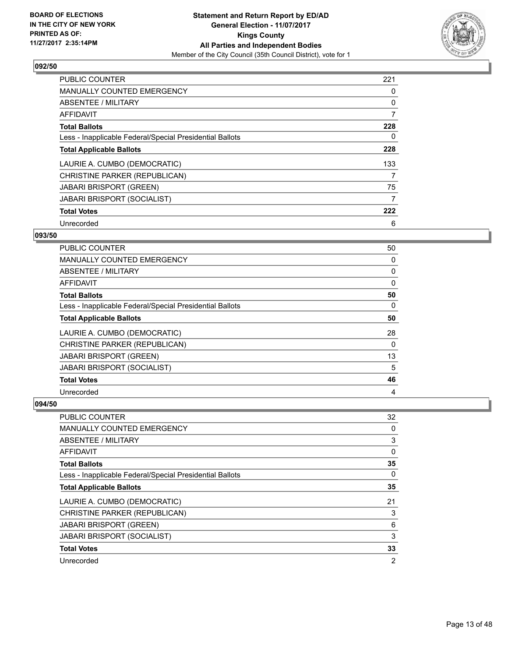

| <b>PUBLIC COUNTER</b>                                    | 221 |
|----------------------------------------------------------|-----|
| <b>MANUALLY COUNTED EMERGENCY</b>                        | 0   |
| ABSENTEE / MILITARY                                      | 0   |
| <b>AFFIDAVIT</b>                                         | 7   |
| <b>Total Ballots</b>                                     | 228 |
| Less - Inapplicable Federal/Special Presidential Ballots | 0   |
| <b>Total Applicable Ballots</b>                          | 228 |
| LAURIE A. CUMBO (DEMOCRATIC)                             | 133 |
| CHRISTINE PARKER (REPUBLICAN)                            | 7   |
| <b>JABARI BRISPORT (GREEN)</b>                           | 75  |
| <b>JABARI BRISPORT (SOCIALIST)</b>                       | 7   |
| <b>Total Votes</b>                                       | 222 |
| Unrecorded                                               | 6   |

# **093/50**

| PUBLIC COUNTER                                           | 50       |
|----------------------------------------------------------|----------|
| MANUALLY COUNTED EMERGENCY                               | 0        |
| ABSENTEE / MILITARY                                      | 0        |
| AFFIDAVIT                                                | 0        |
| <b>Total Ballots</b>                                     | 50       |
| Less - Inapplicable Federal/Special Presidential Ballots | $\Omega$ |
| <b>Total Applicable Ballots</b>                          | 50       |
| LAURIE A. CUMBO (DEMOCRATIC)                             | 28       |
| CHRISTINE PARKER (REPUBLICAN)                            | 0        |
| <b>JABARI BRISPORT (GREEN)</b>                           | 13       |
| <b>JABARI BRISPORT (SOCIALIST)</b>                       | 5        |
| <b>Total Votes</b>                                       | 46       |
| Unrecorded                                               | 4        |

| <b>PUBLIC COUNTER</b>                                    | 32             |
|----------------------------------------------------------|----------------|
| MANUALLY COUNTED EMERGENCY                               | 0              |
| ABSENTEE / MILITARY                                      | 3              |
| AFFIDAVIT                                                | 0              |
| <b>Total Ballots</b>                                     | 35             |
| Less - Inapplicable Federal/Special Presidential Ballots | 0              |
| <b>Total Applicable Ballots</b>                          | 35             |
| LAURIE A. CUMBO (DEMOCRATIC)                             | 21             |
| CHRISTINE PARKER (REPUBLICAN)                            | 3              |
| <b>JABARI BRISPORT (GREEN)</b>                           | 6              |
| JABARI BRISPORT (SOCIALIST)                              | 3              |
| <b>Total Votes</b>                                       | 33             |
| Unrecorded                                               | $\overline{2}$ |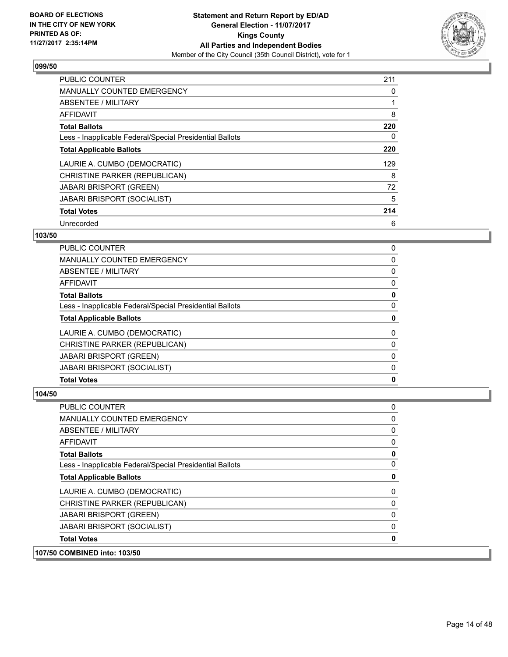

| <b>PUBLIC COUNTER</b>                                    | 211 |
|----------------------------------------------------------|-----|
| <b>MANUALLY COUNTED EMERGENCY</b>                        | 0   |
| ABSENTEE / MILITARY                                      |     |
| <b>AFFIDAVIT</b>                                         | 8   |
| <b>Total Ballots</b>                                     | 220 |
| Less - Inapplicable Federal/Special Presidential Ballots | 0   |
| <b>Total Applicable Ballots</b>                          | 220 |
| LAURIE A. CUMBO (DEMOCRATIC)                             | 129 |
| CHRISTINE PARKER (REPUBLICAN)                            | 8   |
| <b>JABARI BRISPORT (GREEN)</b>                           | 72  |
| <b>JABARI BRISPORT (SOCIALIST)</b>                       | 5   |
| <b>Total Votes</b>                                       | 214 |
| Unrecorded                                               | 6   |

# **103/50**

| <b>PUBLIC COUNTER</b>                                    | 0 |
|----------------------------------------------------------|---|
| <b>MANUALLY COUNTED EMERGENCY</b>                        | 0 |
| ABSENTEE / MILITARY                                      | 0 |
| AFFIDAVIT                                                | 0 |
| <b>Total Ballots</b>                                     | 0 |
| Less - Inapplicable Federal/Special Presidential Ballots | 0 |
| <b>Total Applicable Ballots</b>                          | 0 |
| LAURIE A. CUMBO (DEMOCRATIC)                             | 0 |
| CHRISTINE PARKER (REPUBLICAN)                            | 0 |
| <b>JABARI BRISPORT (GREEN)</b>                           | 0 |
| <b>JABARI BRISPORT (SOCIALIST)</b>                       | 0 |
| <b>Total Votes</b>                                       | 0 |
|                                                          |   |

| 107/50 COMBINED into: 103/50                             |              |
|----------------------------------------------------------|--------------|
| <b>Total Votes</b>                                       | 0            |
| JABARI BRISPORT (SOCIALIST)                              | 0            |
| <b>JABARI BRISPORT (GREEN)</b>                           | 0            |
| CHRISTINE PARKER (REPUBLICAN)                            | 0            |
| LAURIE A. CUMBO (DEMOCRATIC)                             | 0            |
| <b>Total Applicable Ballots</b>                          | 0            |
| Less - Inapplicable Federal/Special Presidential Ballots | $\mathbf{0}$ |
| <b>Total Ballots</b>                                     | 0            |
| AFFIDAVIT                                                | 0            |
| ABSENTEE / MILITARY                                      | 0            |
| <b>MANUALLY COUNTED EMERGENCY</b>                        | 0            |
| <b>PUBLIC COUNTER</b>                                    | 0            |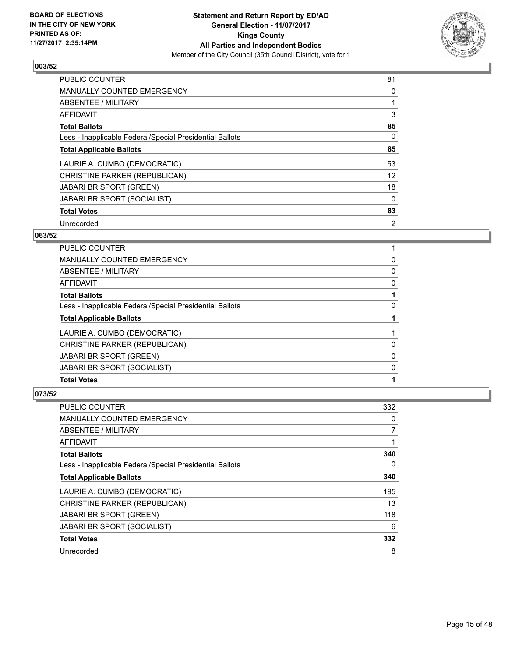

| <b>PUBLIC COUNTER</b>                                    | 81             |
|----------------------------------------------------------|----------------|
| <b>MANUALLY COUNTED EMERGENCY</b>                        | 0              |
| ABSENTEE / MILITARY                                      |                |
| AFFIDAVIT                                                | 3              |
| <b>Total Ballots</b>                                     | 85             |
| Less - Inapplicable Federal/Special Presidential Ballots | 0              |
| <b>Total Applicable Ballots</b>                          | 85             |
| LAURIE A. CUMBO (DEMOCRATIC)                             | 53             |
| CHRISTINE PARKER (REPUBLICAN)                            | 12             |
| <b>JABARI BRISPORT (GREEN)</b>                           | 18             |
| <b>JABARI BRISPORT (SOCIALIST)</b>                       | 0              |
| <b>Total Votes</b>                                       | 83             |
| Unrecorded                                               | $\overline{2}$ |

# **063/52**

| <b>PUBLIC COUNTER</b>                                    |   |
|----------------------------------------------------------|---|
| <b>MANUALLY COUNTED EMERGENCY</b>                        | 0 |
| ABSENTEE / MILITARY                                      | 0 |
| <b>AFFIDAVIT</b>                                         | 0 |
| <b>Total Ballots</b>                                     |   |
| Less - Inapplicable Federal/Special Presidential Ballots | 0 |
| <b>Total Applicable Ballots</b>                          |   |
| LAURIE A. CUMBO (DEMOCRATIC)                             |   |
| CHRISTINE PARKER (REPUBLICAN)                            | 0 |
| <b>JABARI BRISPORT (GREEN)</b>                           | 0 |
| <b>JABARI BRISPORT (SOCIALIST)</b>                       | 0 |
| <b>Total Votes</b>                                       |   |

| <b>PUBLIC COUNTER</b>                                    | 332 |
|----------------------------------------------------------|-----|
| <b>MANUALLY COUNTED EMERGENCY</b>                        | 0   |
| ABSENTEE / MILITARY                                      | 7   |
| AFFIDAVIT                                                | 1   |
| <b>Total Ballots</b>                                     | 340 |
| Less - Inapplicable Federal/Special Presidential Ballots | 0   |
| <b>Total Applicable Ballots</b>                          | 340 |
| LAURIE A. CUMBO (DEMOCRATIC)                             | 195 |
| CHRISTINE PARKER (REPUBLICAN)                            | 13  |
| <b>JABARI BRISPORT (GREEN)</b>                           | 118 |
| <b>JABARI BRISPORT (SOCIALIST)</b>                       | 6   |
| <b>Total Votes</b>                                       | 332 |
| Unrecorded                                               | 8   |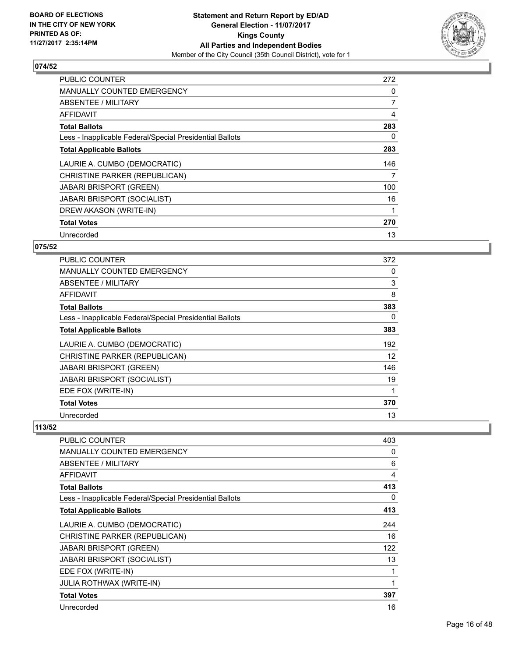

| <b>PUBLIC COUNTER</b>                                    | 272            |
|----------------------------------------------------------|----------------|
| <b>MANUALLY COUNTED EMERGENCY</b>                        | 0              |
| ABSENTEE / MILITARY                                      | $\overline{7}$ |
| <b>AFFIDAVIT</b>                                         | 4              |
| <b>Total Ballots</b>                                     | 283            |
| Less - Inapplicable Federal/Special Presidential Ballots | 0              |
| <b>Total Applicable Ballots</b>                          | 283            |
| LAURIE A. CUMBO (DEMOCRATIC)                             | 146            |
| CHRISTINE PARKER (REPUBLICAN)                            | 7              |
| <b>JABARI BRISPORT (GREEN)</b>                           | 100            |
| <b>JABARI BRISPORT (SOCIALIST)</b>                       | 16             |
| DREW AKASON (WRITE-IN)                                   |                |
| <b>Total Votes</b>                                       | 270            |
| Unrecorded                                               | 13             |

# **075/52**

| <b>PUBLIC COUNTER</b>                                    | 372 |
|----------------------------------------------------------|-----|
| <b>MANUALLY COUNTED EMERGENCY</b>                        | 0   |
| ABSENTEE / MILITARY                                      | 3   |
| AFFIDAVIT                                                | 8   |
| <b>Total Ballots</b>                                     | 383 |
| Less - Inapplicable Federal/Special Presidential Ballots | 0   |
| <b>Total Applicable Ballots</b>                          | 383 |
| LAURIE A. CUMBO (DEMOCRATIC)                             | 192 |
| CHRISTINE PARKER (REPUBLICAN)                            | 12  |
| <b>JABARI BRISPORT (GREEN)</b>                           | 146 |
| <b>JABARI BRISPORT (SOCIALIST)</b>                       | 19  |
| EDE FOX (WRITE-IN)                                       |     |
| <b>Total Votes</b>                                       | 370 |
| Unrecorded                                               | 13  |

| PUBLIC COUNTER                                           | 403 |
|----------------------------------------------------------|-----|
| <b>MANUALLY COUNTED EMERGENCY</b>                        | 0   |
| <b>ABSENTEE / MILITARY</b>                               | 6   |
| <b>AFFIDAVIT</b>                                         | 4   |
| <b>Total Ballots</b>                                     | 413 |
| Less - Inapplicable Federal/Special Presidential Ballots | 0   |
| <b>Total Applicable Ballots</b>                          | 413 |
| LAURIE A. CUMBO (DEMOCRATIC)                             | 244 |
| CHRISTINE PARKER (REPUBLICAN)                            | 16  |
| <b>JABARI BRISPORT (GREEN)</b>                           | 122 |
| <b>JABARI BRISPORT (SOCIALIST)</b>                       | 13  |
| EDE FOX (WRITE-IN)                                       | 1   |
| <b>JULIA ROTHWAX (WRITE-IN)</b>                          | 1   |
| <b>Total Votes</b>                                       | 397 |
| Unrecorded                                               | 16  |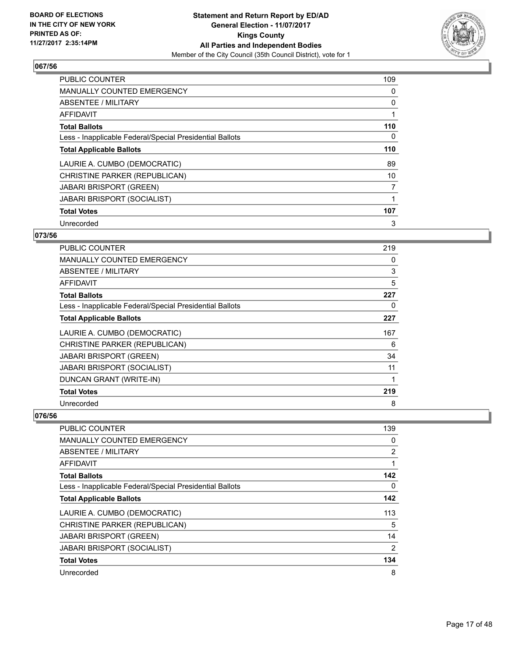

| <b>PUBLIC COUNTER</b>                                    | 109 |
|----------------------------------------------------------|-----|
| <b>MANUALLY COUNTED EMERGENCY</b>                        | 0   |
| ABSENTEE / MILITARY                                      | 0   |
| AFFIDAVIT                                                |     |
| <b>Total Ballots</b>                                     | 110 |
| Less - Inapplicable Federal/Special Presidential Ballots | 0   |
| <b>Total Applicable Ballots</b>                          | 110 |
| LAURIE A. CUMBO (DEMOCRATIC)                             | 89  |
| CHRISTINE PARKER (REPUBLICAN)                            | 10  |
| <b>JABARI BRISPORT (GREEN)</b>                           | 7   |
| <b>JABARI BRISPORT (SOCIALIST)</b>                       |     |
| <b>Total Votes</b>                                       | 107 |
| Unrecorded                                               | 3   |

# **073/56**

| <b>PUBLIC COUNTER</b>                                    | 219 |
|----------------------------------------------------------|-----|
| MANUALLY COUNTED EMERGENCY                               | 0   |
| ABSENTEE / MILITARY                                      | 3   |
| AFFIDAVIT                                                | 5   |
| <b>Total Ballots</b>                                     | 227 |
| Less - Inapplicable Federal/Special Presidential Ballots | 0   |
| <b>Total Applicable Ballots</b>                          | 227 |
| LAURIE A. CUMBO (DEMOCRATIC)                             | 167 |
| CHRISTINE PARKER (REPUBLICAN)                            | 6   |
| <b>JABARI BRISPORT (GREEN)</b>                           | 34  |
| JABARI BRISPORT (SOCIALIST)                              | 11  |
| DUNCAN GRANT (WRITE-IN)                                  | 1   |
| <b>Total Votes</b>                                       | 219 |
| Unrecorded                                               | 8   |

| <b>PUBLIC COUNTER</b>                                    | 139            |
|----------------------------------------------------------|----------------|
| <b>MANUALLY COUNTED EMERGENCY</b>                        | 0              |
| ABSENTEE / MILITARY                                      | $\overline{2}$ |
| AFFIDAVIT                                                |                |
| <b>Total Ballots</b>                                     | 142            |
| Less - Inapplicable Federal/Special Presidential Ballots | 0              |
| <b>Total Applicable Ballots</b>                          | 142            |
| LAURIE A. CUMBO (DEMOCRATIC)                             | 113            |
| CHRISTINE PARKER (REPUBLICAN)                            | 5              |
| <b>JABARI BRISPORT (GREEN)</b>                           | 14             |
| <b>JABARI BRISPORT (SOCIALIST)</b>                       | $\overline{2}$ |
| <b>Total Votes</b>                                       | 134            |
| Unrecorded                                               | 8              |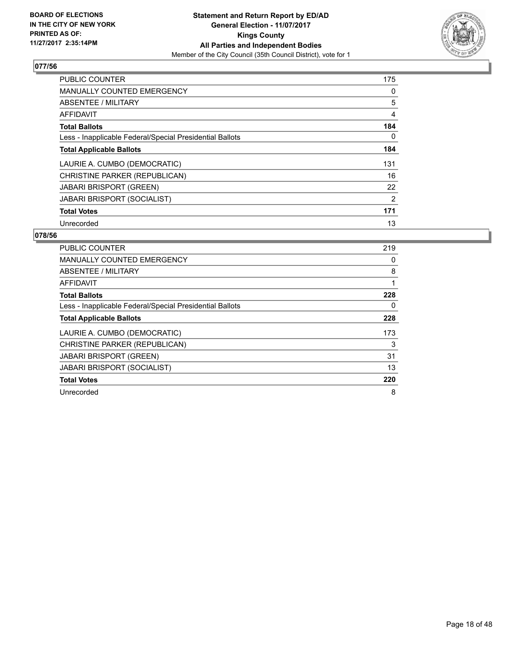

| <b>PUBLIC COUNTER</b>                                    | 175 |
|----------------------------------------------------------|-----|
| <b>MANUALLY COUNTED EMERGENCY</b>                        | 0   |
| ABSENTEE / MILITARY                                      | 5   |
| <b>AFFIDAVIT</b>                                         | 4   |
| <b>Total Ballots</b>                                     | 184 |
| Less - Inapplicable Federal/Special Presidential Ballots | 0   |
| <b>Total Applicable Ballots</b>                          | 184 |
| LAURIE A. CUMBO (DEMOCRATIC)                             | 131 |
| CHRISTINE PARKER (REPUBLICAN)                            | 16  |
| <b>JABARI BRISPORT (GREEN)</b>                           | 22  |
| <b>JABARI BRISPORT (SOCIALIST)</b>                       | 2   |
| <b>Total Votes</b>                                       | 171 |
| Unrecorded                                               | 13  |

| <b>PUBLIC COUNTER</b>                                    | 219 |
|----------------------------------------------------------|-----|
| <b>MANUALLY COUNTED EMERGENCY</b>                        | 0   |
| <b>ABSENTEE / MILITARY</b>                               | 8   |
| AFFIDAVIT                                                | 1   |
| <b>Total Ballots</b>                                     | 228 |
| Less - Inapplicable Federal/Special Presidential Ballots | 0   |
| <b>Total Applicable Ballots</b>                          | 228 |
| LAURIE A. CUMBO (DEMOCRATIC)                             | 173 |
| CHRISTINE PARKER (REPUBLICAN)                            | 3   |
| <b>JABARI BRISPORT (GREEN)</b>                           | 31  |
| <b>JABARI BRISPORT (SOCIALIST)</b>                       | 13  |
| <b>Total Votes</b>                                       | 220 |
| Unrecorded                                               | 8   |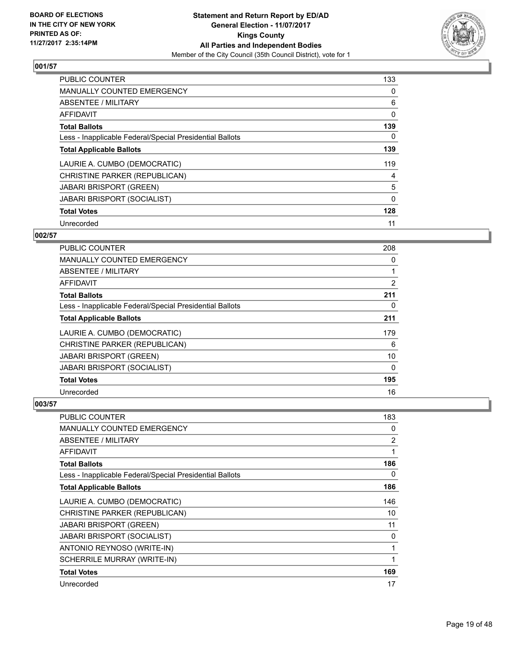

| <b>PUBLIC COUNTER</b>                                    | 133 |
|----------------------------------------------------------|-----|
| <b>MANUALLY COUNTED EMERGENCY</b>                        | 0   |
| ABSENTEE / MILITARY                                      | 6   |
| <b>AFFIDAVIT</b>                                         | 0   |
| <b>Total Ballots</b>                                     | 139 |
| Less - Inapplicable Federal/Special Presidential Ballots | 0   |
| <b>Total Applicable Ballots</b>                          | 139 |
| LAURIE A. CUMBO (DEMOCRATIC)                             | 119 |
| CHRISTINE PARKER (REPUBLICAN)                            | 4   |
| <b>JABARI BRISPORT (GREEN)</b>                           | 5   |
| <b>JABARI BRISPORT (SOCIALIST)</b>                       | 0   |
| <b>Total Votes</b>                                       | 128 |
| Unrecorded                                               | 11  |

# **002/57**

| <b>PUBLIC COUNTER</b>                                    | 208 |
|----------------------------------------------------------|-----|
| <b>MANUALLY COUNTED EMERGENCY</b>                        | 0   |
| ABSENTEE / MILITARY                                      |     |
| AFFIDAVIT                                                | 2   |
| <b>Total Ballots</b>                                     | 211 |
| Less - Inapplicable Federal/Special Presidential Ballots | 0   |
| <b>Total Applicable Ballots</b>                          | 211 |
| LAURIE A. CUMBO (DEMOCRATIC)                             | 179 |
| CHRISTINE PARKER (REPUBLICAN)                            | 6   |
| <b>JABARI BRISPORT (GREEN)</b>                           | 10  |
| <b>JABARI BRISPORT (SOCIALIST)</b>                       | 0   |
| <b>Total Votes</b>                                       | 195 |
| Unrecorded                                               | 16  |

| <b>PUBLIC COUNTER</b>                                    | 183            |
|----------------------------------------------------------|----------------|
| <b>MANUALLY COUNTED EMERGENCY</b>                        | 0              |
| ABSENTEE / MILITARY                                      | $\overline{2}$ |
| AFFIDAVIT                                                | 1              |
| <b>Total Ballots</b>                                     | 186            |
| Less - Inapplicable Federal/Special Presidential Ballots | 0              |
| <b>Total Applicable Ballots</b>                          | 186            |
| LAURIE A. CUMBO (DEMOCRATIC)                             | 146            |
| CHRISTINE PARKER (REPUBLICAN)                            | 10             |
| <b>JABARI BRISPORT (GREEN)</b>                           | 11             |
| <b>JABARI BRISPORT (SOCIALIST)</b>                       | 0              |
| ANTONIO REYNOSO (WRITE-IN)                               | 1              |
| SCHERRILE MURRAY (WRITE-IN)                              |                |
| <b>Total Votes</b>                                       | 169            |
| Unrecorded                                               | 17             |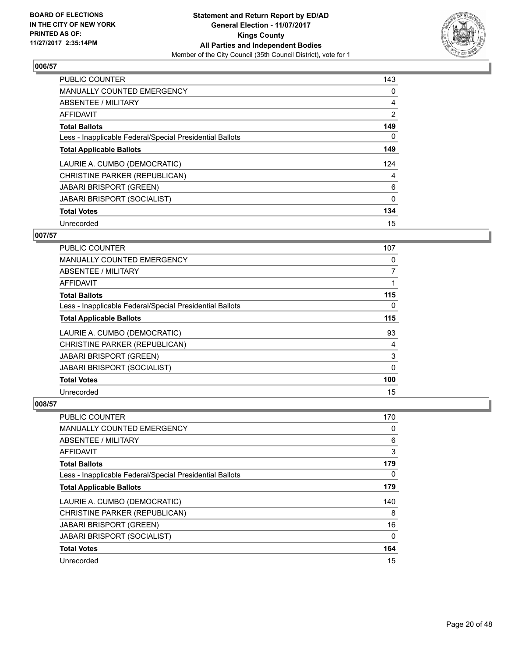

| <b>PUBLIC COUNTER</b>                                    | 143            |
|----------------------------------------------------------|----------------|
| <b>MANUALLY COUNTED EMERGENCY</b>                        | 0              |
| <b>ABSENTEE / MILITARY</b>                               | 4              |
| <b>AFFIDAVIT</b>                                         | $\overline{2}$ |
| <b>Total Ballots</b>                                     | 149            |
| Less - Inapplicable Federal/Special Presidential Ballots | 0              |
| <b>Total Applicable Ballots</b>                          | 149            |
| LAURIE A. CUMBO (DEMOCRATIC)                             | 124            |
| CHRISTINE PARKER (REPUBLICAN)                            | 4              |
| <b>JABARI BRISPORT (GREEN)</b>                           | 6              |
| <b>JABARI BRISPORT (SOCIALIST)</b>                       | 0              |
| <b>Total Votes</b>                                       | 134            |
| Unrecorded                                               | 15             |

# **007/57**

| <b>PUBLIC COUNTER</b>                                    | 107      |
|----------------------------------------------------------|----------|
| <b>MANUALLY COUNTED EMERGENCY</b>                        | 0        |
| ABSENTEE / MILITARY                                      | 7        |
| AFFIDAVIT                                                |          |
| <b>Total Ballots</b>                                     | 115      |
| Less - Inapplicable Federal/Special Presidential Ballots | 0        |
| <b>Total Applicable Ballots</b>                          | 115      |
| LAURIE A. CUMBO (DEMOCRATIC)                             | 93       |
| CHRISTINE PARKER (REPUBLICAN)                            | 4        |
| JABARI BRISPORT (GREEN)                                  | 3        |
| <b>JABARI BRISPORT (SOCIALIST)</b>                       | $\Omega$ |
| <b>Total Votes</b>                                       | 100      |
| Unrecorded                                               | 15       |

| <b>PUBLIC COUNTER</b>                                    | 170 |
|----------------------------------------------------------|-----|
| <b>MANUALLY COUNTED EMERGENCY</b>                        | 0   |
| ABSENTEE / MILITARY                                      | 6   |
| AFFIDAVIT                                                | 3   |
| <b>Total Ballots</b>                                     | 179 |
| Less - Inapplicable Federal/Special Presidential Ballots | 0   |
| <b>Total Applicable Ballots</b>                          | 179 |
| LAURIE A. CUMBO (DEMOCRATIC)                             | 140 |
| CHRISTINE PARKER (REPUBLICAN)                            | 8   |
| <b>JABARI BRISPORT (GREEN)</b>                           | 16  |
| JABARI BRISPORT (SOCIALIST)                              | 0   |
| <b>Total Votes</b>                                       | 164 |
| Unrecorded                                               | 15  |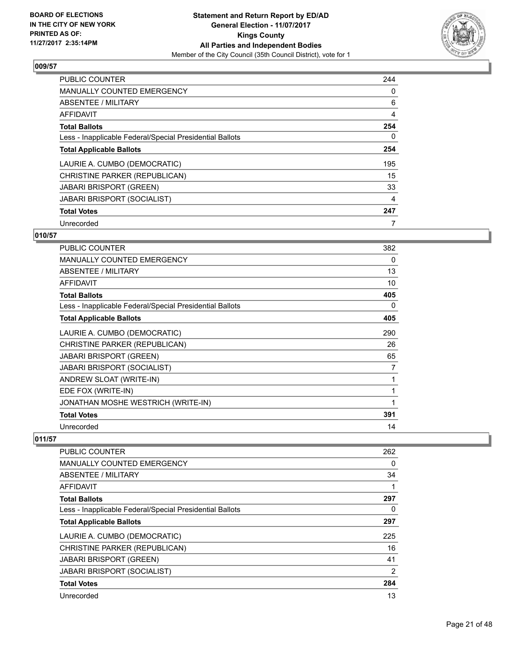

| <b>PUBLIC COUNTER</b>                                    | 244 |
|----------------------------------------------------------|-----|
| <b>MANUALLY COUNTED EMERGENCY</b>                        | 0   |
| ABSENTEE / MILITARY                                      | 6   |
| AFFIDAVIT                                                | 4   |
| <b>Total Ballots</b>                                     | 254 |
| Less - Inapplicable Federal/Special Presidential Ballots | 0   |
| <b>Total Applicable Ballots</b>                          | 254 |
| LAURIE A. CUMBO (DEMOCRATIC)                             | 195 |
| CHRISTINE PARKER (REPUBLICAN)                            | 15  |
| <b>JABARI BRISPORT (GREEN)</b>                           | 33  |
| <b>JABARI BRISPORT (SOCIALIST)</b>                       | 4   |
| <b>Total Votes</b>                                       | 247 |
| Unrecorded                                               | 7   |

# **010/57**

| <b>PUBLIC COUNTER</b>                                    | 382 |
|----------------------------------------------------------|-----|
| <b>MANUALLY COUNTED EMERGENCY</b>                        | 0   |
| <b>ABSENTEE / MILITARY</b>                               | 13  |
| <b>AFFIDAVIT</b>                                         | 10  |
| <b>Total Ballots</b>                                     | 405 |
| Less - Inapplicable Federal/Special Presidential Ballots | 0   |
| <b>Total Applicable Ballots</b>                          | 405 |
| LAURIE A. CUMBO (DEMOCRATIC)                             | 290 |
| CHRISTINE PARKER (REPUBLICAN)                            | 26  |
| <b>JABARI BRISPORT (GREEN)</b>                           | 65  |
| <b>JABARI BRISPORT (SOCIALIST)</b>                       | 7   |
| ANDREW SLOAT (WRITE-IN)                                  | 1   |
| EDE FOX (WRITE-IN)                                       | 1   |
| JONATHAN MOSHE WESTRICH (WRITE-IN)                       | 1   |
| <b>Total Votes</b>                                       | 391 |
| Unrecorded                                               | 14  |

| <b>PUBLIC COUNTER</b>                                    | 262 |
|----------------------------------------------------------|-----|
| <b>MANUALLY COUNTED EMERGENCY</b>                        | 0   |
| ABSENTEE / MILITARY                                      | 34  |
| <b>AFFIDAVIT</b>                                         | 1   |
| <b>Total Ballots</b>                                     | 297 |
| Less - Inapplicable Federal/Special Presidential Ballots | 0   |
| <b>Total Applicable Ballots</b>                          | 297 |
| LAURIE A. CUMBO (DEMOCRATIC)                             | 225 |
| CHRISTINE PARKER (REPUBLICAN)                            | 16  |
| <b>JABARI BRISPORT (GREEN)</b>                           | 41  |
| <b>JABARI BRISPORT (SOCIALIST)</b>                       | 2   |
| <b>Total Votes</b>                                       | 284 |
| Unrecorded                                               | 13  |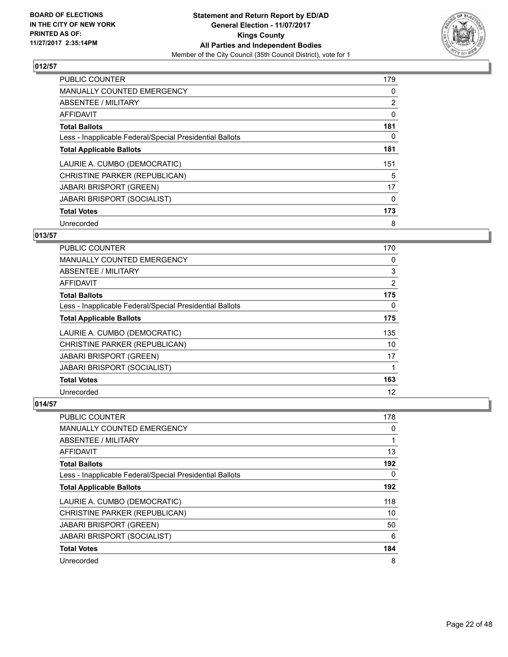

| <b>PUBLIC COUNTER</b>                                    | 179            |
|----------------------------------------------------------|----------------|
| <b>MANUALLY COUNTED EMERGENCY</b>                        | 0              |
| ABSENTEE / MILITARY                                      | $\overline{2}$ |
| <b>AFFIDAVIT</b>                                         | 0              |
| <b>Total Ballots</b>                                     | 181            |
| Less - Inapplicable Federal/Special Presidential Ballots | 0              |
| <b>Total Applicable Ballots</b>                          | 181            |
| LAURIE A. CUMBO (DEMOCRATIC)                             | 151            |
| CHRISTINE PARKER (REPUBLICAN)                            | 5              |
| <b>JABARI BRISPORT (GREEN)</b>                           | 17             |
| <b>JABARI BRISPORT (SOCIALIST)</b>                       | 0              |
| <b>Total Votes</b>                                       | 173            |
| Unrecorded                                               | 8              |

# **013/57**

| PUBLIC COUNTER                                           | 170 |
|----------------------------------------------------------|-----|
| <b>MANUALLY COUNTED EMERGENCY</b>                        | 0   |
| ABSENTEE / MILITARY                                      | 3   |
| AFFIDAVIT                                                | 2   |
| <b>Total Ballots</b>                                     | 175 |
| Less - Inapplicable Federal/Special Presidential Ballots | 0   |
| <b>Total Applicable Ballots</b>                          | 175 |
| LAURIE A. CUMBO (DEMOCRATIC)                             | 135 |
| CHRISTINE PARKER (REPUBLICAN)                            | 10  |
| <b>JABARI BRISPORT (GREEN)</b>                           | 17  |
| <b>JABARI BRISPORT (SOCIALIST)</b>                       | 1   |
| <b>Total Votes</b>                                       | 163 |
| Unrecorded                                               | 12  |

| PUBLIC COUNTER                                           | 178 |
|----------------------------------------------------------|-----|
| <b>MANUALLY COUNTED EMERGENCY</b>                        | 0   |
| ABSENTEE / MILITARY                                      | 1   |
| AFFIDAVIT                                                | 13  |
| <b>Total Ballots</b>                                     | 192 |
| Less - Inapplicable Federal/Special Presidential Ballots | 0   |
| <b>Total Applicable Ballots</b>                          | 192 |
| LAURIE A. CUMBO (DEMOCRATIC)                             | 118 |
| CHRISTINE PARKER (REPUBLICAN)                            | 10  |
| <b>JABARI BRISPORT (GREEN)</b>                           | 50  |
| <b>JABARI BRISPORT (SOCIALIST)</b>                       | 6   |
| <b>Total Votes</b>                                       | 184 |
| Unrecorded                                               | 8   |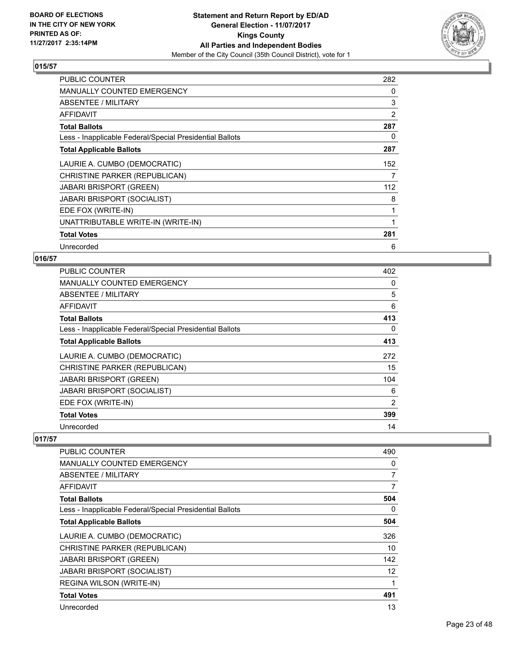

| <b>PUBLIC COUNTER</b>                                    | 282 |
|----------------------------------------------------------|-----|
| MANUALLY COUNTED EMERGENCY                               | 0   |
| ABSENTEE / MILITARY                                      | 3   |
| AFFIDAVIT                                                | 2   |
| <b>Total Ballots</b>                                     | 287 |
| Less - Inapplicable Federal/Special Presidential Ballots | 0   |
| <b>Total Applicable Ballots</b>                          | 287 |
| LAURIE A. CUMBO (DEMOCRATIC)                             | 152 |
| CHRISTINE PARKER (REPUBLICAN)                            | 7   |
| <b>JABARI BRISPORT (GREEN)</b>                           | 112 |
| <b>JABARI BRISPORT (SOCIALIST)</b>                       | 8   |
| EDE FOX (WRITE-IN)                                       | 1   |
| UNATTRIBUTABLE WRITE-IN (WRITE-IN)                       | 1   |
| <b>Total Votes</b>                                       | 281 |
| Unrecorded                                               | 6   |

# **016/57**

| <b>PUBLIC COUNTER</b>                                    | 402 |
|----------------------------------------------------------|-----|
| <b>MANUALLY COUNTED EMERGENCY</b>                        | 0   |
| ABSENTEE / MILITARY                                      | 5   |
| AFFIDAVIT                                                | 6   |
| <b>Total Ballots</b>                                     | 413 |
| Less - Inapplicable Federal/Special Presidential Ballots | 0   |
| <b>Total Applicable Ballots</b>                          | 413 |
| LAURIE A. CUMBO (DEMOCRATIC)                             | 272 |
| CHRISTINE PARKER (REPUBLICAN)                            | 15  |
| <b>JABARI BRISPORT (GREEN)</b>                           | 104 |
| <b>JABARI BRISPORT (SOCIALIST)</b>                       | 6   |
| EDE FOX (WRITE-IN)                                       | 2   |
| <b>Total Votes</b>                                       | 399 |
| Unrecorded                                               | 14  |

| PUBLIC COUNTER                                           | 490 |
|----------------------------------------------------------|-----|
| <b>MANUALLY COUNTED EMERGENCY</b>                        | 0   |
| ABSENTEE / MILITARY                                      | 7   |
| AFFIDAVIT                                                | 7   |
| <b>Total Ballots</b>                                     | 504 |
| Less - Inapplicable Federal/Special Presidential Ballots | 0   |
| <b>Total Applicable Ballots</b>                          | 504 |
| LAURIE A. CUMBO (DEMOCRATIC)                             | 326 |
| CHRISTINE PARKER (REPUBLICAN)                            | 10  |
| <b>JABARI BRISPORT (GREEN)</b>                           | 142 |
| <b>JABARI BRISPORT (SOCIALIST)</b>                       | 12  |
| REGINA WILSON (WRITE-IN)                                 | 1   |
| <b>Total Votes</b>                                       | 491 |
| Unrecorded                                               | 13  |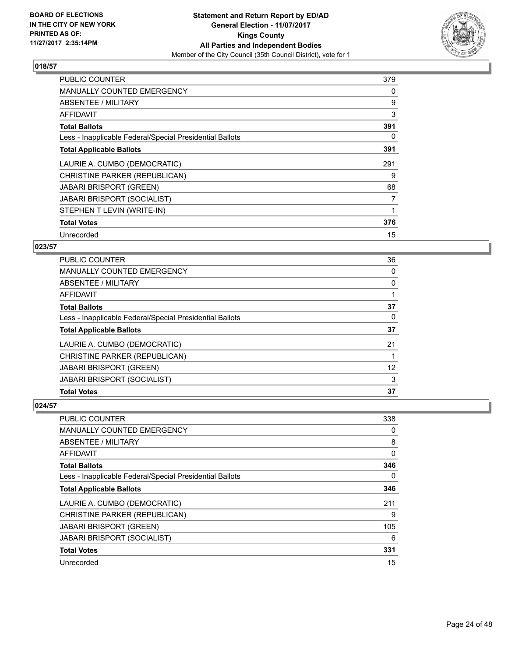

| <b>PUBLIC COUNTER</b>                                    | 379 |
|----------------------------------------------------------|-----|
| <b>MANUALLY COUNTED EMERGENCY</b>                        | 0   |
| ABSENTEE / MILITARY                                      | 9   |
| <b>AFFIDAVIT</b>                                         | 3   |
| <b>Total Ballots</b>                                     | 391 |
| Less - Inapplicable Federal/Special Presidential Ballots | 0   |
| <b>Total Applicable Ballots</b>                          | 391 |
| LAURIE A. CUMBO (DEMOCRATIC)                             | 291 |
| CHRISTINE PARKER (REPUBLICAN)                            | 9   |
| <b>JABARI BRISPORT (GREEN)</b>                           | 68  |
| <b>JABARI BRISPORT (SOCIALIST)</b>                       | 7   |
| STEPHEN T LEVIN (WRITE-IN)                               |     |
| <b>Total Votes</b>                                       | 376 |
| Unrecorded                                               | 15  |

# **023/57**

| <b>PUBLIC COUNTER</b>                                    | 36 |
|----------------------------------------------------------|----|
| <b>MANUALLY COUNTED EMERGENCY</b>                        | 0  |
| ABSENTEE / MILITARY                                      | 0  |
| AFFIDAVIT                                                |    |
| <b>Total Ballots</b>                                     | 37 |
| Less - Inapplicable Federal/Special Presidential Ballots | 0  |
| <b>Total Applicable Ballots</b>                          | 37 |
| LAURIE A. CUMBO (DEMOCRATIC)                             | 21 |
| CHRISTINE PARKER (REPUBLICAN)                            |    |
| <b>JABARI BRISPORT (GREEN)</b>                           | 12 |
| <b>JABARI BRISPORT (SOCIALIST)</b>                       | 3  |
| <b>Total Votes</b>                                       | 37 |

| <b>PUBLIC COUNTER</b>                                    | 338 |
|----------------------------------------------------------|-----|
| <b>MANUALLY COUNTED EMERGENCY</b>                        | 0   |
| ABSENTEE / MILITARY                                      | 8   |
| AFFIDAVIT                                                | 0   |
| <b>Total Ballots</b>                                     | 346 |
| Less - Inapplicable Federal/Special Presidential Ballots | 0   |
| <b>Total Applicable Ballots</b>                          | 346 |
| LAURIE A. CUMBO (DEMOCRATIC)                             | 211 |
| CHRISTINE PARKER (REPUBLICAN)                            | 9   |
| <b>JABARI BRISPORT (GREEN)</b>                           | 105 |
| JABARI BRISPORT (SOCIALIST)                              | 6   |
| <b>Total Votes</b>                                       | 331 |
| Unrecorded                                               | 15  |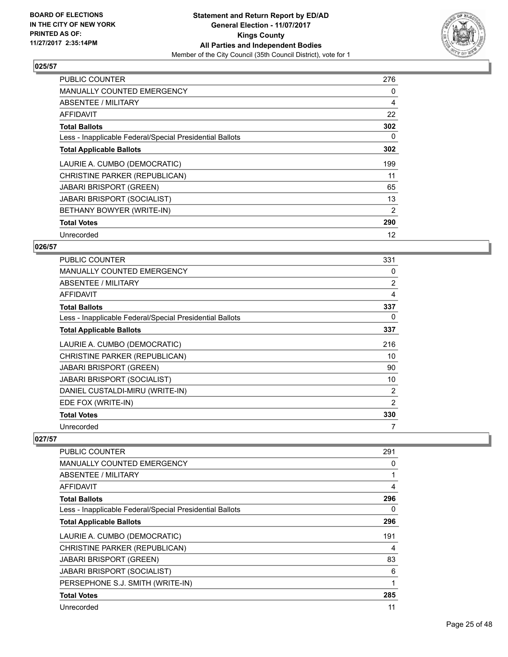

| <b>PUBLIC COUNTER</b>                                    | 276 |
|----------------------------------------------------------|-----|
| <b>MANUALLY COUNTED EMERGENCY</b>                        | 0   |
| ABSENTEE / MILITARY                                      | 4   |
| AFFIDAVIT                                                | 22  |
| <b>Total Ballots</b>                                     | 302 |
| Less - Inapplicable Federal/Special Presidential Ballots | 0   |
| <b>Total Applicable Ballots</b>                          | 302 |
| LAURIE A. CUMBO (DEMOCRATIC)                             | 199 |
| CHRISTINE PARKER (REPUBLICAN)                            | 11  |
| <b>JABARI BRISPORT (GREEN)</b>                           | 65  |
| JABARI BRISPORT (SOCIALIST)                              | 13  |
| BETHANY BOWYER (WRITE-IN)                                | 2   |
| <b>Total Votes</b>                                       | 290 |
|                                                          |     |

# **026/57**

| <b>PUBLIC COUNTER</b>                                    | 331            |
|----------------------------------------------------------|----------------|
| <b>MANUALLY COUNTED EMERGENCY</b>                        | 0              |
| ABSENTEE / MILITARY                                      | $\overline{2}$ |
| AFFIDAVIT                                                | 4              |
| <b>Total Ballots</b>                                     | 337            |
| Less - Inapplicable Federal/Special Presidential Ballots | 0              |
| <b>Total Applicable Ballots</b>                          | 337            |
| LAURIE A. CUMBO (DEMOCRATIC)                             | 216            |
| CHRISTINE PARKER (REPUBLICAN)                            | 10             |
| <b>JABARI BRISPORT (GREEN)</b>                           | 90             |
| <b>JABARI BRISPORT (SOCIALIST)</b>                       | 10             |
| DANIEL CUSTALDI-MIRU (WRITE-IN)                          | 2              |
| EDE FOX (WRITE-IN)                                       | 2              |
| <b>Total Votes</b>                                       | 330            |
| Unrecorded                                               |                |

| PUBLIC COUNTER                                           | 291 |
|----------------------------------------------------------|-----|
| <b>MANUALLY COUNTED EMERGENCY</b>                        | 0   |
| ABSENTEE / MILITARY                                      |     |
| <b>AFFIDAVIT</b>                                         | 4   |
| <b>Total Ballots</b>                                     | 296 |
| Less - Inapplicable Federal/Special Presidential Ballots | 0   |
| <b>Total Applicable Ballots</b>                          | 296 |
| LAURIE A. CUMBO (DEMOCRATIC)                             | 191 |
| CHRISTINE PARKER (REPUBLICAN)                            | 4   |
| <b>JABARI BRISPORT (GREEN)</b>                           | 83  |
| <b>JABARI BRISPORT (SOCIALIST)</b>                       | 6   |
| PERSEPHONE S.J. SMITH (WRITE-IN)                         | 1   |
| <b>Total Votes</b>                                       | 285 |
| Unrecorded                                               | 11  |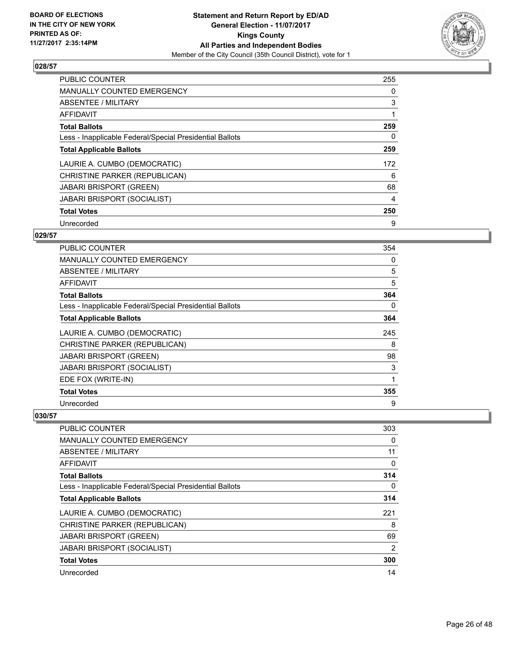

| <b>PUBLIC COUNTER</b>                                    | 255 |
|----------------------------------------------------------|-----|
| <b>MANUALLY COUNTED EMERGENCY</b>                        | 0   |
| <b>ABSENTEE / MILITARY</b>                               | 3   |
| <b>AFFIDAVIT</b>                                         |     |
| <b>Total Ballots</b>                                     | 259 |
| Less - Inapplicable Federal/Special Presidential Ballots | 0   |
| <b>Total Applicable Ballots</b>                          | 259 |
| LAURIE A. CUMBO (DEMOCRATIC)                             | 172 |
| CHRISTINE PARKER (REPUBLICAN)                            | 6   |
| <b>JABARI BRISPORT (GREEN)</b>                           | 68  |
| <b>JABARI BRISPORT (SOCIALIST)</b>                       | 4   |
| <b>Total Votes</b>                                       | 250 |
| Unrecorded                                               | 9   |

# **029/57**

| <b>PUBLIC COUNTER</b>                                    | 354 |
|----------------------------------------------------------|-----|
| <b>MANUALLY COUNTED EMERGENCY</b>                        | 0   |
| ABSENTEE / MILITARY                                      | 5   |
| <b>AFFIDAVIT</b>                                         | 5   |
| <b>Total Ballots</b>                                     | 364 |
| Less - Inapplicable Federal/Special Presidential Ballots | 0   |
| <b>Total Applicable Ballots</b>                          | 364 |
| LAURIE A. CUMBO (DEMOCRATIC)                             | 245 |
| CHRISTINE PARKER (REPUBLICAN)                            | 8   |
| <b>JABARI BRISPORT (GREEN)</b>                           | 98  |
| <b>JABARI BRISPORT (SOCIALIST)</b>                       | 3   |
| EDE FOX (WRITE-IN)                                       | 1   |
| <b>Total Votes</b>                                       | 355 |
| Unrecorded                                               | 9   |

| <b>PUBLIC COUNTER</b>                                    | 303            |
|----------------------------------------------------------|----------------|
| <b>MANUALLY COUNTED EMERGENCY</b>                        | 0              |
| ABSENTEE / MILITARY                                      | 11             |
| AFFIDAVIT                                                | 0              |
| <b>Total Ballots</b>                                     | 314            |
| Less - Inapplicable Federal/Special Presidential Ballots | 0              |
| <b>Total Applicable Ballots</b>                          | 314            |
| LAURIE A. CUMBO (DEMOCRATIC)                             | 221            |
| CHRISTINE PARKER (REPUBLICAN)                            | 8              |
| <b>JABARI BRISPORT (GREEN)</b>                           | 69             |
| <b>JABARI BRISPORT (SOCIALIST)</b>                       | $\overline{2}$ |
| <b>Total Votes</b>                                       | 300            |
| Unrecorded                                               | 14             |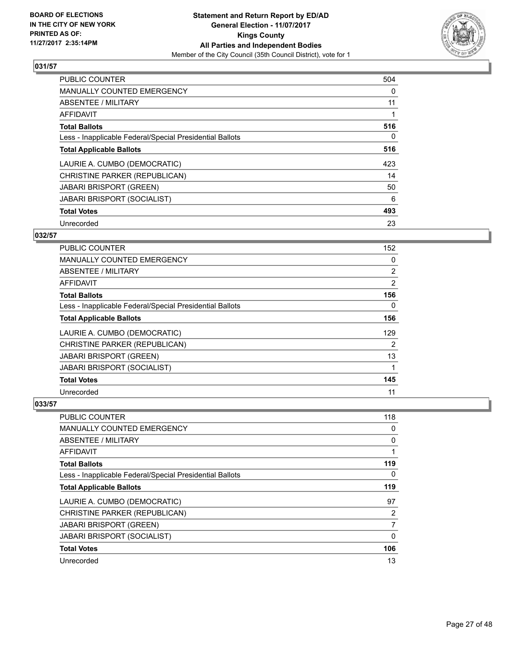

| <b>PUBLIC COUNTER</b>                                    | 504 |
|----------------------------------------------------------|-----|
| <b>MANUALLY COUNTED EMERGENCY</b>                        | 0   |
| ABSENTEE / MILITARY                                      | 11  |
| <b>AFFIDAVIT</b>                                         |     |
| <b>Total Ballots</b>                                     | 516 |
| Less - Inapplicable Federal/Special Presidential Ballots | 0   |
| <b>Total Applicable Ballots</b>                          | 516 |
| LAURIE A. CUMBO (DEMOCRATIC)                             | 423 |
| CHRISTINE PARKER (REPUBLICAN)                            | 14  |
| <b>JABARI BRISPORT (GREEN)</b>                           | 50  |
| <b>JABARI BRISPORT (SOCIALIST)</b>                       | 6   |
| <b>Total Votes</b>                                       | 493 |
| Unrecorded                                               | 23  |

# **032/57**

| <b>PUBLIC COUNTER</b>                                    | 152            |
|----------------------------------------------------------|----------------|
| MANUALLY COUNTED EMERGENCY                               | 0              |
| ABSENTEE / MILITARY                                      | $\overline{2}$ |
| AFFIDAVIT                                                | 2              |
| <b>Total Ballots</b>                                     | 156            |
| Less - Inapplicable Federal/Special Presidential Ballots | 0              |
| <b>Total Applicable Ballots</b>                          | 156            |
| LAURIE A. CUMBO (DEMOCRATIC)                             | 129            |
| CHRISTINE PARKER (REPUBLICAN)                            | 2              |
| <b>JABARI BRISPORT (GREEN)</b>                           | 13             |
| <b>JABARI BRISPORT (SOCIALIST)</b>                       |                |
| <b>Total Votes</b>                                       | 145            |
| Unrecorded                                               | 11             |

| PUBLIC COUNTER                                           | 118 |
|----------------------------------------------------------|-----|
| <b>MANUALLY COUNTED EMERGENCY</b>                        | 0   |
| ABSENTEE / MILITARY                                      | 0   |
| AFFIDAVIT                                                |     |
| <b>Total Ballots</b>                                     | 119 |
| Less - Inapplicable Federal/Special Presidential Ballots | 0   |
| <b>Total Applicable Ballots</b>                          | 119 |
| LAURIE A. CUMBO (DEMOCRATIC)                             | 97  |
| CHRISTINE PARKER (REPUBLICAN)                            | 2   |
| <b>JABARI BRISPORT (GREEN)</b>                           | 7   |
| <b>JABARI BRISPORT (SOCIALIST)</b>                       | 0   |
| <b>Total Votes</b>                                       | 106 |
| Unrecorded                                               | 13  |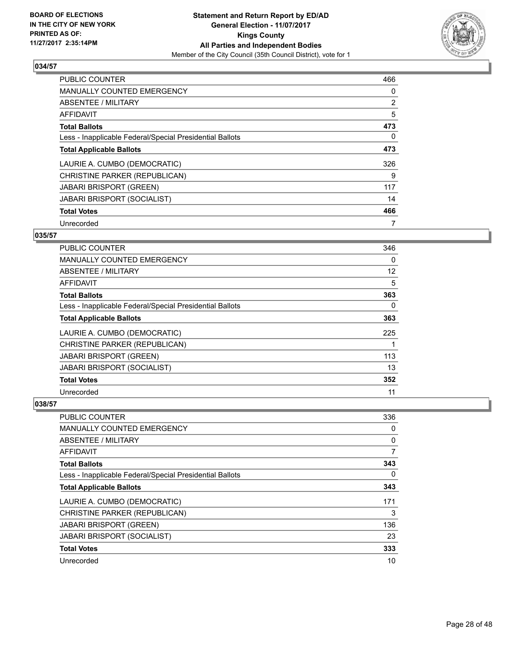

| <b>PUBLIC COUNTER</b>                                    | 466 |
|----------------------------------------------------------|-----|
| <b>MANUALLY COUNTED EMERGENCY</b>                        | 0   |
| ABSENTEE / MILITARY                                      | 2   |
| <b>AFFIDAVIT</b>                                         | 5   |
| <b>Total Ballots</b>                                     | 473 |
| Less - Inapplicable Federal/Special Presidential Ballots | 0   |
| <b>Total Applicable Ballots</b>                          | 473 |
| LAURIE A. CUMBO (DEMOCRATIC)                             | 326 |
| CHRISTINE PARKER (REPUBLICAN)                            | 9   |
| <b>JABARI BRISPORT (GREEN)</b>                           | 117 |
| <b>JABARI BRISPORT (SOCIALIST)</b>                       | 14  |
| <b>Total Votes</b>                                       | 466 |
| Unrecorded                                               |     |

# **035/57**

| <b>PUBLIC COUNTER</b>                                    | 346 |
|----------------------------------------------------------|-----|
| <b>MANUALLY COUNTED EMERGENCY</b>                        | 0   |
| ABSENTEE / MILITARY                                      | 12  |
| AFFIDAVIT                                                | 5   |
| <b>Total Ballots</b>                                     | 363 |
| Less - Inapplicable Federal/Special Presidential Ballots | 0   |
| <b>Total Applicable Ballots</b>                          | 363 |
| LAURIE A. CUMBO (DEMOCRATIC)                             | 225 |
| CHRISTINE PARKER (REPUBLICAN)                            |     |
| <b>JABARI BRISPORT (GREEN)</b>                           | 113 |
| <b>JABARI BRISPORT (SOCIALIST)</b>                       | 13  |
| <b>Total Votes</b>                                       | 352 |
| Unrecorded                                               | 11  |

| PUBLIC COUNTER                                           | 336 |
|----------------------------------------------------------|-----|
| <b>MANUALLY COUNTED EMERGENCY</b>                        | 0   |
| ABSENTEE / MILITARY                                      | 0   |
| AFFIDAVIT                                                | 7   |
| <b>Total Ballots</b>                                     | 343 |
| Less - Inapplicable Federal/Special Presidential Ballots | 0   |
| <b>Total Applicable Ballots</b>                          | 343 |
| LAURIE A. CUMBO (DEMOCRATIC)                             | 171 |
| CHRISTINE PARKER (REPUBLICAN)                            | 3   |
| <b>JABARI BRISPORT (GREEN)</b>                           | 136 |
| <b>JABARI BRISPORT (SOCIALIST)</b>                       | 23  |
| <b>Total Votes</b>                                       | 333 |
| Unrecorded                                               | 10  |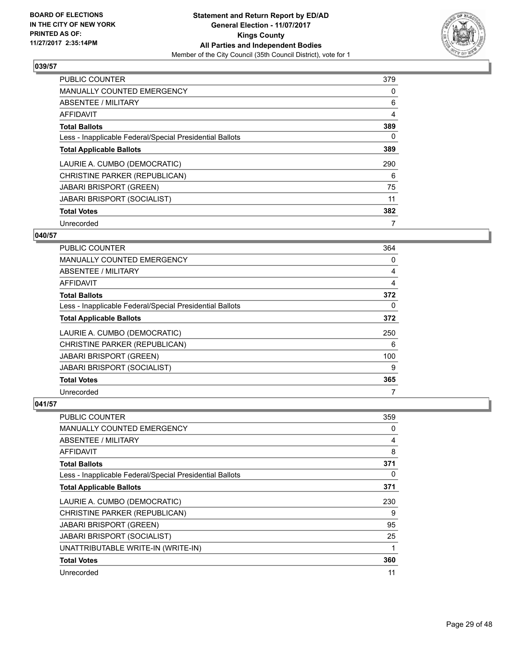

| <b>PUBLIC COUNTER</b>                                    | 379 |
|----------------------------------------------------------|-----|
| <b>MANUALLY COUNTED EMERGENCY</b>                        | 0   |
| ABSENTEE / MILITARY                                      | 6   |
| AFFIDAVIT                                                | 4   |
| <b>Total Ballots</b>                                     | 389 |
| Less - Inapplicable Federal/Special Presidential Ballots | 0   |
| <b>Total Applicable Ballots</b>                          | 389 |
| LAURIE A. CUMBO (DEMOCRATIC)                             | 290 |
| CHRISTINE PARKER (REPUBLICAN)                            | 6   |
| <b>JABARI BRISPORT (GREEN)</b>                           | 75  |
| <b>JABARI BRISPORT (SOCIALIST)</b>                       | 11  |
| <b>Total Votes</b>                                       | 382 |
| Unrecorded                                               |     |

# **040/57**

| PUBLIC COUNTER                                           | 364 |
|----------------------------------------------------------|-----|
| <b>MANUALLY COUNTED EMERGENCY</b>                        | 0   |
| ABSENTEE / MILITARY                                      | 4   |
| AFFIDAVIT                                                | 4   |
| <b>Total Ballots</b>                                     | 372 |
| Less - Inapplicable Federal/Special Presidential Ballots | 0   |
| <b>Total Applicable Ballots</b>                          | 372 |
| LAURIE A. CUMBO (DEMOCRATIC)                             | 250 |
| CHRISTINE PARKER (REPUBLICAN)                            | 6   |
| <b>JABARI BRISPORT (GREEN)</b>                           | 100 |
| <b>JABARI BRISPORT (SOCIALIST)</b>                       | 9   |
| <b>Total Votes</b>                                       | 365 |
| Unrecorded                                               | 7   |

| <b>PUBLIC COUNTER</b>                                    | 359 |
|----------------------------------------------------------|-----|
| <b>MANUALLY COUNTED EMERGENCY</b>                        | 0   |
| ABSENTEE / MILITARY                                      | 4   |
| AFFIDAVIT                                                | 8   |
| <b>Total Ballots</b>                                     | 371 |
| Less - Inapplicable Federal/Special Presidential Ballots | 0   |
| <b>Total Applicable Ballots</b>                          | 371 |
| LAURIE A. CUMBO (DEMOCRATIC)                             | 230 |
| CHRISTINE PARKER (REPUBLICAN)                            | 9   |
| <b>JABARI BRISPORT (GREEN)</b>                           | 95  |
| <b>JABARI BRISPORT (SOCIALIST)</b>                       | 25  |
| UNATTRIBUTABLE WRITE-IN (WRITE-IN)                       |     |
| <b>Total Votes</b>                                       | 360 |
| Unrecorded                                               | 11  |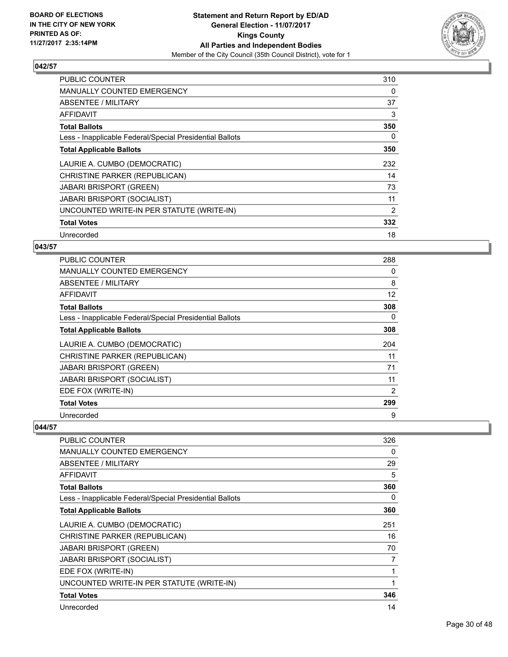

| <b>PUBLIC COUNTER</b>                                    | 310 |
|----------------------------------------------------------|-----|
| <b>MANUALLY COUNTED EMERGENCY</b>                        | 0   |
| <b>ABSENTEE / MILITARY</b>                               | 37  |
| AFFIDAVIT                                                | 3   |
| <b>Total Ballots</b>                                     | 350 |
| Less - Inapplicable Federal/Special Presidential Ballots | 0   |
| <b>Total Applicable Ballots</b>                          | 350 |
| LAURIE A. CUMBO (DEMOCRATIC)                             | 232 |
| CHRISTINE PARKER (REPUBLICAN)                            | 14  |
| <b>JABARI BRISPORT (GREEN)</b>                           | 73  |
| <b>JABARI BRISPORT (SOCIALIST)</b>                       | 11  |
| UNCOUNTED WRITE-IN PER STATUTE (WRITE-IN)                | 2   |
| <b>Total Votes</b>                                       | 332 |
| Unrecorded                                               | 18  |

#### **043/57**

| <b>PUBLIC COUNTER</b>                                    | 288 |
|----------------------------------------------------------|-----|
| <b>MANUALLY COUNTED EMERGENCY</b>                        | 0   |
| ABSENTEE / MILITARY                                      | 8   |
| AFFIDAVIT                                                | 12  |
| <b>Total Ballots</b>                                     | 308 |
| Less - Inapplicable Federal/Special Presidential Ballots | 0   |
| <b>Total Applicable Ballots</b>                          | 308 |
| LAURIE A. CUMBO (DEMOCRATIC)                             | 204 |
| CHRISTINE PARKER (REPUBLICAN)                            | 11  |
| <b>JABARI BRISPORT (GREEN)</b>                           | 71  |
| <b>JABARI BRISPORT (SOCIALIST)</b>                       | 11  |
| EDE FOX (WRITE-IN)                                       | 2   |
| <b>Total Votes</b>                                       | 299 |
| Unrecorded                                               | 9   |

| PUBLIC COUNTER                                           | 326 |
|----------------------------------------------------------|-----|
| <b>MANUALLY COUNTED EMERGENCY</b>                        | 0   |
| <b>ABSENTEE / MILITARY</b>                               | 29  |
| AFFIDAVIT                                                | 5   |
| <b>Total Ballots</b>                                     | 360 |
| Less - Inapplicable Federal/Special Presidential Ballots | 0   |
| <b>Total Applicable Ballots</b>                          | 360 |
| LAURIE A. CUMBO (DEMOCRATIC)                             | 251 |
| CHRISTINE PARKER (REPUBLICAN)                            | 16  |
| <b>JABARI BRISPORT (GREEN)</b>                           | 70  |
| JABARI BRISPORT (SOCIALIST)                              | 7   |
| EDE FOX (WRITE-IN)                                       | 1   |
| UNCOUNTED WRITE-IN PER STATUTE (WRITE-IN)                | 1   |
| <b>Total Votes</b>                                       | 346 |
| Unrecorded                                               | 14  |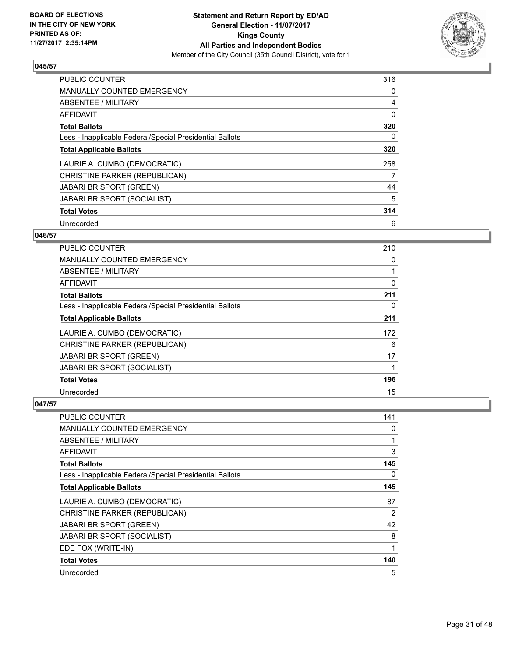

| <b>PUBLIC COUNTER</b>                                    | 316 |
|----------------------------------------------------------|-----|
| <b>MANUALLY COUNTED EMERGENCY</b>                        | 0   |
| ABSENTEE / MILITARY                                      | 4   |
| <b>AFFIDAVIT</b>                                         | 0   |
| <b>Total Ballots</b>                                     | 320 |
| Less - Inapplicable Federal/Special Presidential Ballots | 0   |
| <b>Total Applicable Ballots</b>                          | 320 |
| LAURIE A. CUMBO (DEMOCRATIC)                             | 258 |
| CHRISTINE PARKER (REPUBLICAN)                            | 7   |
| <b>JABARI BRISPORT (GREEN)</b>                           | 44  |
| <b>JABARI BRISPORT (SOCIALIST)</b>                       | 5   |
| <b>Total Votes</b>                                       | 314 |
| Unrecorded                                               | 6   |

# **046/57**

| PUBLIC COUNTER                                           | 210 |
|----------------------------------------------------------|-----|
| <b>MANUALLY COUNTED EMERGENCY</b>                        | 0   |
| ABSENTEE / MILITARY                                      |     |
| AFFIDAVIT                                                | 0   |
| <b>Total Ballots</b>                                     | 211 |
| Less - Inapplicable Federal/Special Presidential Ballots | 0   |
| <b>Total Applicable Ballots</b>                          | 211 |
| LAURIE A. CUMBO (DEMOCRATIC)                             | 172 |
| CHRISTINE PARKER (REPUBLICAN)                            | 6   |
| <b>JABARI BRISPORT (GREEN)</b>                           | 17  |
| <b>JABARI BRISPORT (SOCIALIST)</b>                       |     |
| <b>Total Votes</b>                                       | 196 |
| Unrecorded                                               | 15  |

| PUBLIC COUNTER                                           | 141 |
|----------------------------------------------------------|-----|
| <b>MANUALLY COUNTED EMERGENCY</b>                        | 0   |
| ABSENTEE / MILITARY                                      | 1   |
| AFFIDAVIT                                                | 3   |
| <b>Total Ballots</b>                                     | 145 |
| Less - Inapplicable Federal/Special Presidential Ballots | 0   |
| <b>Total Applicable Ballots</b>                          | 145 |
| LAURIE A. CUMBO (DEMOCRATIC)                             | 87  |
| CHRISTINE PARKER (REPUBLICAN)                            | 2   |
| <b>JABARI BRISPORT (GREEN)</b>                           | 42  |
| <b>JABARI BRISPORT (SOCIALIST)</b>                       | 8   |
| EDE FOX (WRITE-IN)                                       | 1   |
| <b>Total Votes</b>                                       | 140 |
| Unrecorded                                               | 5   |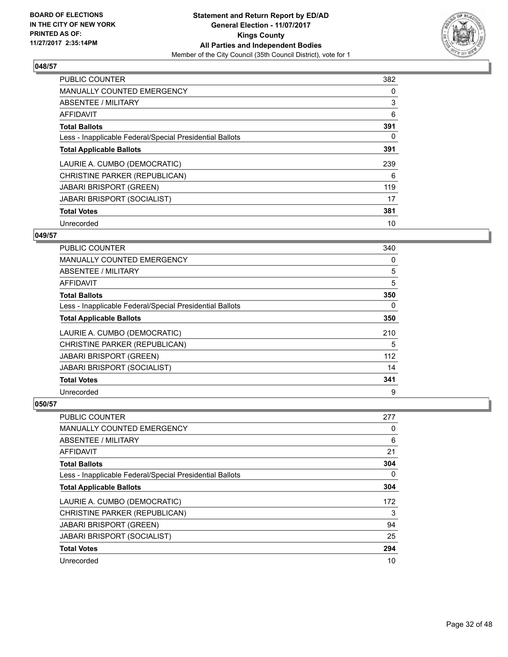

| <b>PUBLIC COUNTER</b>                                    | 382 |
|----------------------------------------------------------|-----|
| MANUALLY COUNTED EMERGENCY                               | 0   |
| ABSENTEE / MILITARY                                      | 3   |
| <b>AFFIDAVIT</b>                                         | 6   |
| <b>Total Ballots</b>                                     | 391 |
| Less - Inapplicable Federal/Special Presidential Ballots | 0   |
| <b>Total Applicable Ballots</b>                          | 391 |
| LAURIE A. CUMBO (DEMOCRATIC)                             | 239 |
| CHRISTINE PARKER (REPUBLICAN)                            | 6   |
| <b>JABARI BRISPORT (GREEN)</b>                           | 119 |
| <b>JABARI BRISPORT (SOCIALIST)</b>                       | 17  |
| <b>Total Votes</b>                                       | 381 |
| Unrecorded                                               | 10  |

# **049/57**

| <b>PUBLIC COUNTER</b>                                    | 340 |
|----------------------------------------------------------|-----|
| MANUALLY COUNTED EMERGENCY                               | 0   |
| ABSENTEE / MILITARY                                      | 5   |
| AFFIDAVIT                                                | 5   |
| <b>Total Ballots</b>                                     | 350 |
| Less - Inapplicable Federal/Special Presidential Ballots | 0   |
| <b>Total Applicable Ballots</b>                          | 350 |
| LAURIE A. CUMBO (DEMOCRATIC)                             | 210 |
| CHRISTINE PARKER (REPUBLICAN)                            | 5   |
| <b>JABARI BRISPORT (GREEN)</b>                           | 112 |
| JABARI BRISPORT (SOCIALIST)                              | 14  |
| <b>Total Votes</b>                                       | 341 |
| Unrecorded                                               | 9   |

| PUBLIC COUNTER                                           | 277 |
|----------------------------------------------------------|-----|
| <b>MANUALLY COUNTED EMERGENCY</b>                        | 0   |
| ABSENTEE / MILITARY                                      | 6   |
| AFFIDAVIT                                                | 21  |
| <b>Total Ballots</b>                                     | 304 |
| Less - Inapplicable Federal/Special Presidential Ballots | 0   |
| <b>Total Applicable Ballots</b>                          | 304 |
| LAURIE A. CUMBO (DEMOCRATIC)                             | 172 |
| CHRISTINE PARKER (REPUBLICAN)                            | 3   |
| <b>JABARI BRISPORT (GREEN)</b>                           | 94  |
| JABARI BRISPORT (SOCIALIST)                              | 25  |
| <b>Total Votes</b>                                       | 294 |
| Unrecorded                                               | 10  |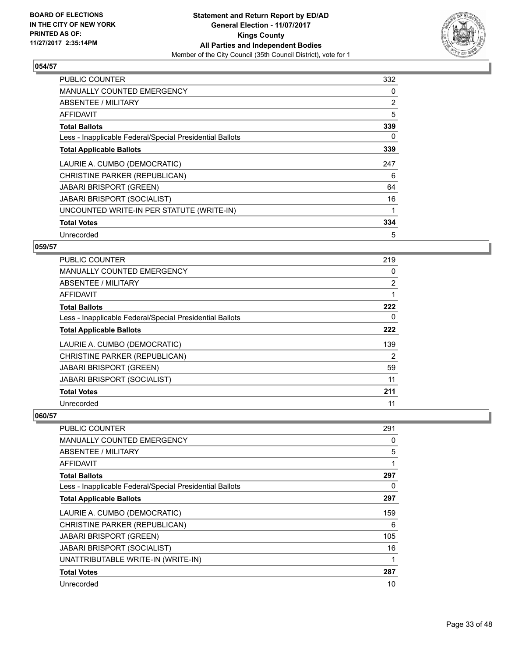

| <b>PUBLIC COUNTER</b>                                    | 332 |
|----------------------------------------------------------|-----|
| <b>MANUALLY COUNTED EMERGENCY</b>                        | 0   |
| ABSENTEE / MILITARY                                      | 2   |
| AFFIDAVIT                                                | 5   |
| <b>Total Ballots</b>                                     | 339 |
| Less - Inapplicable Federal/Special Presidential Ballots | 0   |
| <b>Total Applicable Ballots</b>                          | 339 |
| LAURIE A. CUMBO (DEMOCRATIC)                             | 247 |
| CHRISTINE PARKER (REPUBLICAN)                            | 6   |
| <b>JABARI BRISPORT (GREEN)</b>                           | 64  |
| <b>JABARI BRISPORT (SOCIALIST)</b>                       | 16  |
| UNCOUNTED WRITE-IN PER STATUTE (WRITE-IN)                |     |
| <b>Total Votes</b>                                       | 334 |
| Unrecorded                                               | 5   |

# **059/57**

| PUBLIC COUNTER                                           | 219            |
|----------------------------------------------------------|----------------|
| <b>MANUALLY COUNTED EMERGENCY</b>                        | 0              |
| ABSENTEE / MILITARY                                      | $\overline{2}$ |
| AFFIDAVIT                                                |                |
| <b>Total Ballots</b>                                     | 222            |
| Less - Inapplicable Federal/Special Presidential Ballots | 0              |
| <b>Total Applicable Ballots</b>                          | 222            |
| LAURIE A. CUMBO (DEMOCRATIC)                             | 139            |
| CHRISTINE PARKER (REPUBLICAN)                            | 2              |
| <b>JABARI BRISPORT (GREEN)</b>                           | 59             |
| <b>JABARI BRISPORT (SOCIALIST)</b>                       | 11             |
| <b>Total Votes</b>                                       | 211            |
| Unrecorded                                               | 11             |

| <b>PUBLIC COUNTER</b>                                    | 291 |
|----------------------------------------------------------|-----|
| <b>MANUALLY COUNTED EMERGENCY</b>                        | 0   |
| <b>ABSENTEE / MILITARY</b>                               | 5   |
| AFFIDAVIT                                                |     |
| <b>Total Ballots</b>                                     | 297 |
| Less - Inapplicable Federal/Special Presidential Ballots | 0   |
| <b>Total Applicable Ballots</b>                          | 297 |
| LAURIE A. CUMBO (DEMOCRATIC)                             | 159 |
| CHRISTINE PARKER (REPUBLICAN)                            | 6   |
| <b>JABARI BRISPORT (GREEN)</b>                           | 105 |
| <b>JABARI BRISPORT (SOCIALIST)</b>                       | 16  |
| UNATTRIBUTABLE WRITE-IN (WRITE-IN)                       |     |
| <b>Total Votes</b>                                       | 287 |
| Unrecorded                                               | 10  |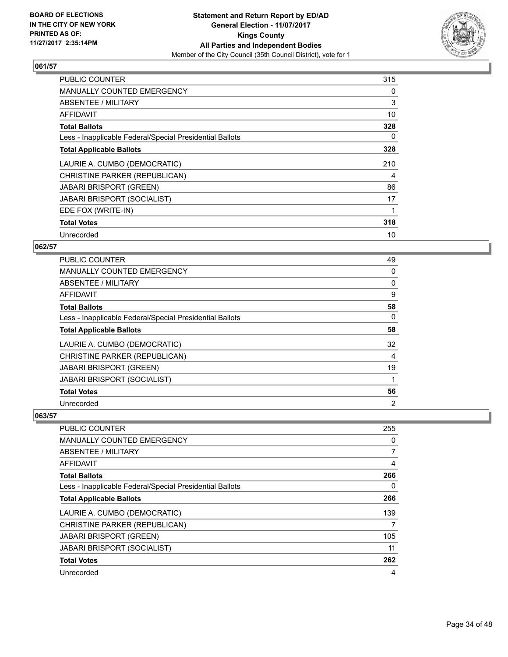

| <b>PUBLIC COUNTER</b>                                    | 315 |
|----------------------------------------------------------|-----|
| <b>MANUALLY COUNTED EMERGENCY</b>                        | 0   |
| ABSENTEE / MILITARY                                      | 3   |
| <b>AFFIDAVIT</b>                                         | 10  |
| <b>Total Ballots</b>                                     | 328 |
| Less - Inapplicable Federal/Special Presidential Ballots | 0   |
| <b>Total Applicable Ballots</b>                          | 328 |
| LAURIE A. CUMBO (DEMOCRATIC)                             | 210 |
| CHRISTINE PARKER (REPUBLICAN)                            | 4   |
| <b>JABARI BRISPORT (GREEN)</b>                           | 86  |
| <b>JABARI BRISPORT (SOCIALIST)</b>                       | 17  |
| EDE FOX (WRITE-IN)                                       |     |
| <b>Total Votes</b>                                       | 318 |
| Unrecorded                                               | 10  |

# **062/57**

| PUBLIC COUNTER                                           | 49 |
|----------------------------------------------------------|----|
| <b>MANUALLY COUNTED EMERGENCY</b>                        | 0  |
| ABSENTEE / MILITARY                                      | 0  |
| AFFIDAVIT                                                | 9  |
| <b>Total Ballots</b>                                     | 58 |
| Less - Inapplicable Federal/Special Presidential Ballots | 0  |
| <b>Total Applicable Ballots</b>                          | 58 |
| LAURIE A. CUMBO (DEMOCRATIC)                             | 32 |
| CHRISTINE PARKER (REPUBLICAN)                            | 4  |
| <b>JABARI BRISPORT (GREEN)</b>                           | 19 |
| <b>JABARI BRISPORT (SOCIALIST)</b>                       | 1  |
| <b>Total Votes</b>                                       | 56 |
| Unrecorded                                               | 2  |

| <b>PUBLIC COUNTER</b>                                    | 255 |
|----------------------------------------------------------|-----|
| <b>MANUALLY COUNTED EMERGENCY</b>                        | 0   |
| ABSENTEE / MILITARY                                      | 7   |
| AFFIDAVIT                                                | 4   |
| <b>Total Ballots</b>                                     | 266 |
| Less - Inapplicable Federal/Special Presidential Ballots | 0   |
| <b>Total Applicable Ballots</b>                          | 266 |
| LAURIE A. CUMBO (DEMOCRATIC)                             | 139 |
| CHRISTINE PARKER (REPUBLICAN)                            | 7   |
| <b>JABARI BRISPORT (GREEN)</b>                           | 105 |
| <b>JABARI BRISPORT (SOCIALIST)</b>                       | 11  |
| <b>Total Votes</b>                                       | 262 |
| Unrecorded                                               | 4   |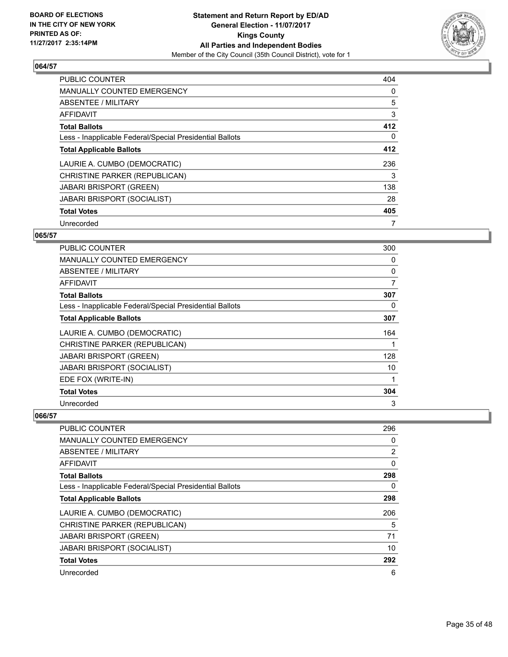

| <b>PUBLIC COUNTER</b>                                    | 404 |
|----------------------------------------------------------|-----|
| <b>MANUALLY COUNTED EMERGENCY</b>                        | 0   |
| <b>ABSENTEE / MILITARY</b>                               | 5   |
| <b>AFFIDAVIT</b>                                         | 3   |
| <b>Total Ballots</b>                                     | 412 |
| Less - Inapplicable Federal/Special Presidential Ballots | 0   |
| <b>Total Applicable Ballots</b>                          | 412 |
| LAURIE A. CUMBO (DEMOCRATIC)                             | 236 |
| CHRISTINE PARKER (REPUBLICAN)                            | 3   |
| <b>JABARI BRISPORT (GREEN)</b>                           | 138 |
| <b>JABARI BRISPORT (SOCIALIST)</b>                       | 28  |
| <b>Total Votes</b>                                       | 405 |
| Unrecorded                                               | 7   |

# **065/57**

| <b>PUBLIC COUNTER</b>                                    | 300 |
|----------------------------------------------------------|-----|
| MANUALLY COUNTED EMERGENCY                               | 0   |
| ABSENTEE / MILITARY                                      | 0   |
| AFFIDAVIT                                                | 7   |
| <b>Total Ballots</b>                                     | 307 |
| Less - Inapplicable Federal/Special Presidential Ballots | 0   |
| <b>Total Applicable Ballots</b>                          | 307 |
| LAURIE A. CUMBO (DEMOCRATIC)                             | 164 |
| CHRISTINE PARKER (REPUBLICAN)                            |     |
| <b>JABARI BRISPORT (GREEN)</b>                           | 128 |
| <b>JABARI BRISPORT (SOCIALIST)</b>                       | 10  |
| EDE FOX (WRITE-IN)                                       |     |
| <b>Total Votes</b>                                       | 304 |
| Unrecorded                                               | 3   |

| <b>PUBLIC COUNTER</b>                                    | 296 |
|----------------------------------------------------------|-----|
| <b>MANUALLY COUNTED EMERGENCY</b>                        | 0   |
| ABSENTEE / MILITARY                                      | 2   |
| AFFIDAVIT                                                | 0   |
| <b>Total Ballots</b>                                     | 298 |
| Less - Inapplicable Federal/Special Presidential Ballots | 0   |
| <b>Total Applicable Ballots</b>                          | 298 |
| LAURIE A. CUMBO (DEMOCRATIC)                             | 206 |
| CHRISTINE PARKER (REPUBLICAN)                            | 5   |
| <b>JABARI BRISPORT (GREEN)</b>                           | 71  |
| <b>JABARI BRISPORT (SOCIALIST)</b>                       | 10  |
| <b>Total Votes</b>                                       | 292 |
| Unrecorded                                               | 6   |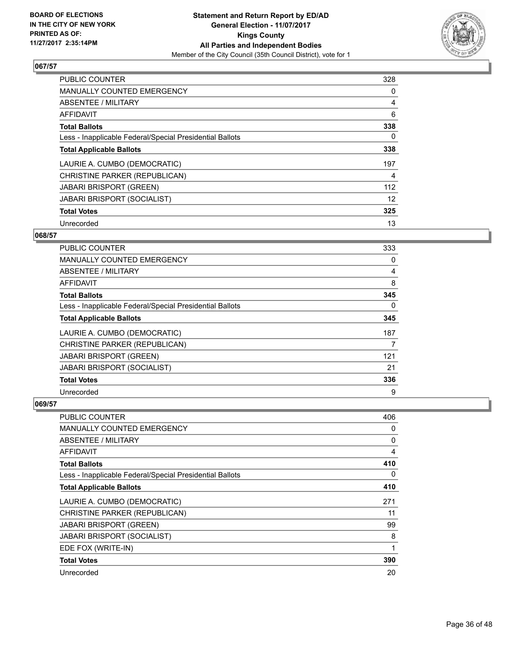

| PUBLIC COUNTER                                           | 328 |
|----------------------------------------------------------|-----|
| <b>MANUALLY COUNTED EMERGENCY</b>                        | 0   |
| <b>ABSENTEE / MILITARY</b>                               | 4   |
| <b>AFFIDAVIT</b>                                         | 6   |
| <b>Total Ballots</b>                                     | 338 |
| Less - Inapplicable Federal/Special Presidential Ballots | 0   |
| <b>Total Applicable Ballots</b>                          | 338 |
| LAURIE A. CUMBO (DEMOCRATIC)                             | 197 |
| CHRISTINE PARKER (REPUBLICAN)                            | 4   |
| <b>JABARI BRISPORT (GREEN)</b>                           | 112 |
| <b>JABARI BRISPORT (SOCIALIST)</b>                       | 12  |
| <b>Total Votes</b>                                       | 325 |
| Unrecorded                                               | 13  |

## **068/57**

| PUBLIC COUNTER                                           | 333      |
|----------------------------------------------------------|----------|
| <b>MANUALLY COUNTED EMERGENCY</b>                        | 0        |
| ABSENTEE / MILITARY                                      | 4        |
| AFFIDAVIT                                                | 8        |
| <b>Total Ballots</b>                                     | 345      |
| Less - Inapplicable Federal/Special Presidential Ballots | $\Omega$ |
| <b>Total Applicable Ballots</b>                          | 345      |
| LAURIE A. CUMBO (DEMOCRATIC)                             | 187      |
| CHRISTINE PARKER (REPUBLICAN)                            | 7        |
| JABARI BRISPORT (GREEN)                                  | 121      |
| <b>JABARI BRISPORT (SOCIALIST)</b>                       | 21       |
| <b>Total Votes</b>                                       | 336      |
| Unrecorded                                               | 9        |

| <b>PUBLIC COUNTER</b>                                    | 406 |
|----------------------------------------------------------|-----|
| <b>MANUALLY COUNTED EMERGENCY</b>                        | 0   |
| ABSENTEE / MILITARY                                      | 0   |
| AFFIDAVIT                                                | 4   |
| <b>Total Ballots</b>                                     | 410 |
| Less - Inapplicable Federal/Special Presidential Ballots | 0   |
| <b>Total Applicable Ballots</b>                          | 410 |
| LAURIE A. CUMBO (DEMOCRATIC)                             | 271 |
| CHRISTINE PARKER (REPUBLICAN)                            | 11  |
| <b>JABARI BRISPORT (GREEN)</b>                           | 99  |
| <b>JABARI BRISPORT (SOCIALIST)</b>                       | 8   |
| EDE FOX (WRITE-IN)                                       |     |
| <b>Total Votes</b>                                       | 390 |
| Unrecorded                                               | 20  |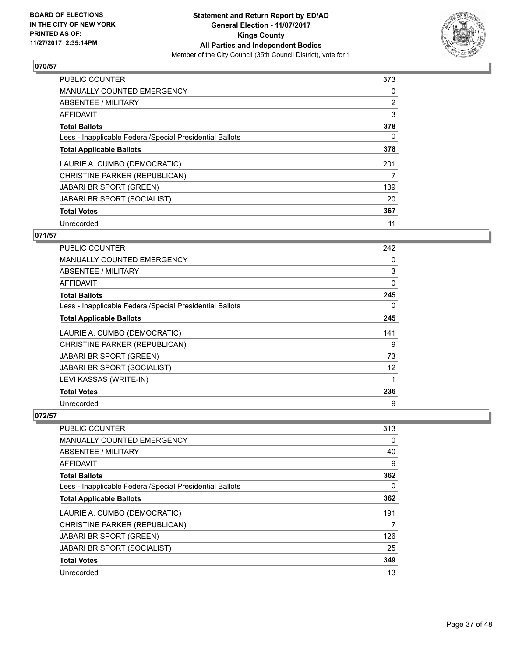

| <b>PUBLIC COUNTER</b>                                    | 373 |
|----------------------------------------------------------|-----|
| MANUALLY COUNTED EMERGENCY                               | 0   |
| ABSENTEE / MILITARY                                      | 2   |
| <b>AFFIDAVIT</b>                                         | 3   |
| <b>Total Ballots</b>                                     | 378 |
| Less - Inapplicable Federal/Special Presidential Ballots | 0   |
| <b>Total Applicable Ballots</b>                          | 378 |
| LAURIE A. CUMBO (DEMOCRATIC)                             | 201 |
| CHRISTINE PARKER (REPUBLICAN)                            | 7   |
| <b>JABARI BRISPORT (GREEN)</b>                           | 139 |
| <b>JABARI BRISPORT (SOCIALIST)</b>                       | 20  |
| <b>Total Votes</b>                                       | 367 |
| Unrecorded                                               | 11  |

# **071/57**

| <b>PUBLIC COUNTER</b>                                    | 242          |
|----------------------------------------------------------|--------------|
| <b>MANUALLY COUNTED EMERGENCY</b>                        | 0            |
| ABSENTEE / MILITARY                                      | 3            |
| AFFIDAVIT                                                | $\mathbf{0}$ |
| <b>Total Ballots</b>                                     | 245          |
| Less - Inapplicable Federal/Special Presidential Ballots | 0            |
| <b>Total Applicable Ballots</b>                          | 245          |
| LAURIE A. CUMBO (DEMOCRATIC)                             | 141          |
| CHRISTINE PARKER (REPUBLICAN)                            | 9            |
| <b>JABARI BRISPORT (GREEN)</b>                           | 73           |
| <b>JABARI BRISPORT (SOCIALIST)</b>                       | 12           |
| LEVI KASSAS (WRITE-IN)                                   | 1            |
| <b>Total Votes</b>                                       | 236          |
| Unrecorded                                               | 9            |

| PUBLIC COUNTER                                           | 313 |
|----------------------------------------------------------|-----|
| <b>MANUALLY COUNTED EMERGENCY</b>                        | 0   |
| ABSENTEE / MILITARY                                      | 40  |
| AFFIDAVIT                                                | 9   |
| <b>Total Ballots</b>                                     | 362 |
| Less - Inapplicable Federal/Special Presidential Ballots | 0   |
| <b>Total Applicable Ballots</b>                          | 362 |
| LAURIE A. CUMBO (DEMOCRATIC)                             | 191 |
| CHRISTINE PARKER (REPUBLICAN)                            | 7   |
| <b>JABARI BRISPORT (GREEN)</b>                           | 126 |
| <b>JABARI BRISPORT (SOCIALIST)</b>                       | 25  |
| <b>Total Votes</b>                                       | 349 |
| Unrecorded                                               | 13  |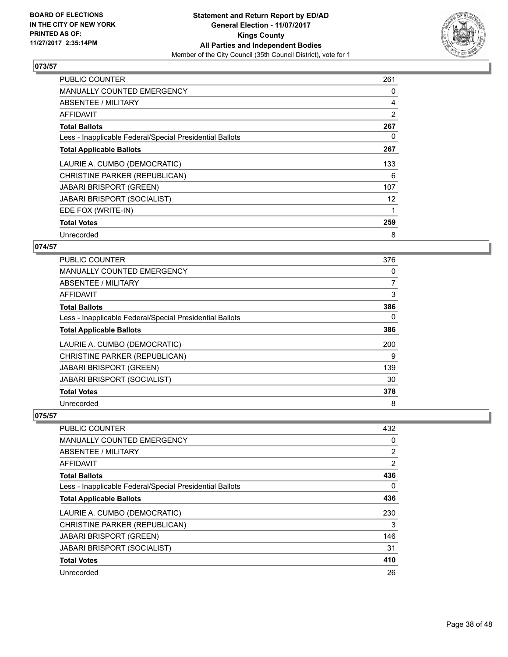

| <b>PUBLIC COUNTER</b>                                    | 261 |
|----------------------------------------------------------|-----|
| <b>MANUALLY COUNTED EMERGENCY</b>                        | 0   |
| <b>ABSENTEE / MILITARY</b>                               | 4   |
| AFFIDAVIT                                                | 2   |
| <b>Total Ballots</b>                                     | 267 |
| Less - Inapplicable Federal/Special Presidential Ballots | 0   |
| <b>Total Applicable Ballots</b>                          | 267 |
| LAURIE A. CUMBO (DEMOCRATIC)                             | 133 |
| CHRISTINE PARKER (REPUBLICAN)                            | 6   |
| <b>JABARI BRISPORT (GREEN)</b>                           | 107 |
| JABARI BRISPORT (SOCIALIST)                              | 12  |
| EDE FOX (WRITE-IN)                                       |     |
| <b>Total Votes</b>                                       | 259 |
| Unrecorded                                               | 8   |

# **074/57**

| <b>PUBLIC COUNTER</b>                                    | 376      |
|----------------------------------------------------------|----------|
| <b>MANUALLY COUNTED EMERGENCY</b>                        | 0        |
| ABSENTEE / MILITARY                                      | 7        |
| AFFIDAVIT                                                | 3        |
| <b>Total Ballots</b>                                     | 386      |
| Less - Inapplicable Federal/Special Presidential Ballots | $\Omega$ |
| <b>Total Applicable Ballots</b>                          | 386      |
| LAURIE A. CUMBO (DEMOCRATIC)                             | 200      |
| CHRISTINE PARKER (REPUBLICAN)                            | 9        |
| <b>JABARI BRISPORT (GREEN)</b>                           | 139      |
| <b>JABARI BRISPORT (SOCIALIST)</b>                       | 30       |
| <b>Total Votes</b>                                       | 378      |
| Unrecorded                                               | 8        |

| <b>PUBLIC COUNTER</b>                                    | 432            |
|----------------------------------------------------------|----------------|
| <b>MANUALLY COUNTED EMERGENCY</b>                        | 0              |
| ABSENTEE / MILITARY                                      | $\overline{2}$ |
| AFFIDAVIT                                                | $\overline{2}$ |
| <b>Total Ballots</b>                                     | 436            |
| Less - Inapplicable Federal/Special Presidential Ballots | 0              |
| <b>Total Applicable Ballots</b>                          | 436            |
| LAURIE A. CUMBO (DEMOCRATIC)                             | 230            |
| CHRISTINE PARKER (REPUBLICAN)                            | 3              |
| <b>JABARI BRISPORT (GREEN)</b>                           | 146            |
| <b>JABARI BRISPORT (SOCIALIST)</b>                       | 31             |
| <b>Total Votes</b>                                       | 410            |
| Unrecorded                                               | 26             |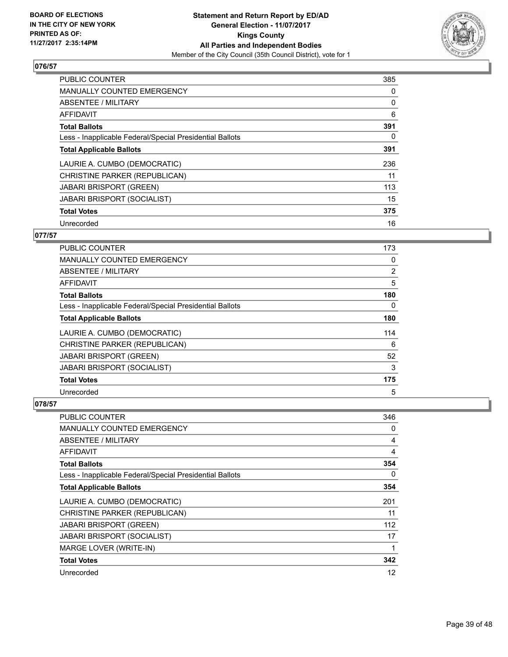

| PUBLIC COUNTER                                           | 385 |
|----------------------------------------------------------|-----|
| <b>MANUALLY COUNTED EMERGENCY</b>                        | 0   |
| ABSENTEE / MILITARY                                      | 0   |
| <b>AFFIDAVIT</b>                                         | 6   |
| <b>Total Ballots</b>                                     | 391 |
| Less - Inapplicable Federal/Special Presidential Ballots | 0   |
| <b>Total Applicable Ballots</b>                          | 391 |
| LAURIE A. CUMBO (DEMOCRATIC)                             | 236 |
| CHRISTINE PARKER (REPUBLICAN)                            | 11  |
| <b>JABARI BRISPORT (GREEN)</b>                           | 113 |
| <b>JABARI BRISPORT (SOCIALIST)</b>                       | 15  |
| <b>Total Votes</b>                                       | 375 |
| Unrecorded                                               | 16  |

# **077/57**

| PUBLIC COUNTER                                           | 173            |
|----------------------------------------------------------|----------------|
| <b>MANUALLY COUNTED EMERGENCY</b>                        | 0              |
| ABSENTEE / MILITARY                                      | $\overline{2}$ |
| AFFIDAVIT                                                | 5              |
| <b>Total Ballots</b>                                     | 180            |
| Less - Inapplicable Federal/Special Presidential Ballots | 0              |
| <b>Total Applicable Ballots</b>                          | 180            |
| LAURIE A. CUMBO (DEMOCRATIC)                             | 114            |
| CHRISTINE PARKER (REPUBLICAN)                            | 6              |
| JABARI BRISPORT (GREEN)                                  | 52             |
| <b>JABARI BRISPORT (SOCIALIST)</b>                       | 3              |
| <b>Total Votes</b>                                       | 175            |
| Unrecorded                                               | 5              |

| <b>PUBLIC COUNTER</b>                                    | 346 |
|----------------------------------------------------------|-----|
| <b>MANUALLY COUNTED EMERGENCY</b>                        | 0   |
| ABSENTEE / MILITARY                                      | 4   |
| AFFIDAVIT                                                | 4   |
| <b>Total Ballots</b>                                     | 354 |
| Less - Inapplicable Federal/Special Presidential Ballots | 0   |
| <b>Total Applicable Ballots</b>                          | 354 |
| LAURIE A. CUMBO (DEMOCRATIC)                             | 201 |
| CHRISTINE PARKER (REPUBLICAN)                            | 11  |
| <b>JABARI BRISPORT (GREEN)</b>                           | 112 |
| <b>JABARI BRISPORT (SOCIALIST)</b>                       | 17  |
| MARGE LOVER (WRITE-IN)                                   | 1   |
| <b>Total Votes</b>                                       | 342 |
| Unrecorded                                               | 12  |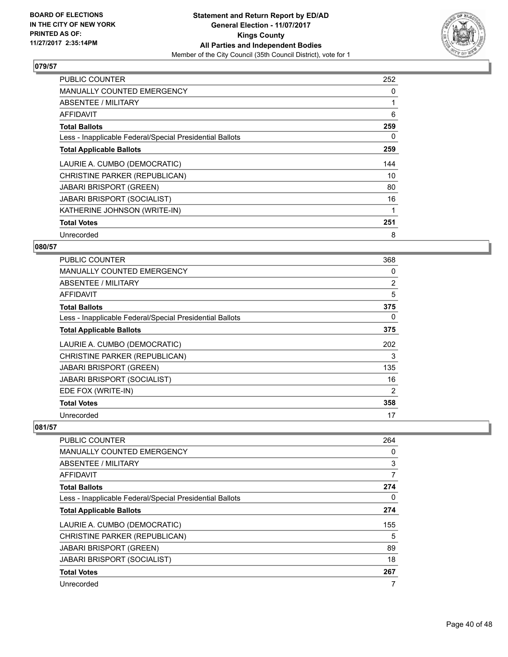

| <b>PUBLIC COUNTER</b>                                    | 252 |
|----------------------------------------------------------|-----|
| <b>MANUALLY COUNTED EMERGENCY</b>                        | 0   |
| <b>ABSENTEE / MILITARY</b>                               |     |
| AFFIDAVIT                                                | 6   |
| <b>Total Ballots</b>                                     | 259 |
| Less - Inapplicable Federal/Special Presidential Ballots | 0   |
| <b>Total Applicable Ballots</b>                          | 259 |
| LAURIE A. CUMBO (DEMOCRATIC)                             | 144 |
| CHRISTINE PARKER (REPUBLICAN)                            | 10  |
| <b>JABARI BRISPORT (GREEN)</b>                           | 80  |
| <b>JABARI BRISPORT (SOCIALIST)</b>                       | 16  |
| KATHERINE JOHNSON (WRITE-IN)                             |     |
| <b>Total Votes</b>                                       | 251 |
| Unrecorded                                               | 8   |

# **080/57**

| <b>PUBLIC COUNTER</b>                                    | 368            |
|----------------------------------------------------------|----------------|
| <b>MANUALLY COUNTED EMERGENCY</b>                        | 0              |
| ABSENTEE / MILITARY                                      | $\overline{2}$ |
| AFFIDAVIT                                                | 5              |
| <b>Total Ballots</b>                                     | 375            |
| Less - Inapplicable Federal/Special Presidential Ballots | 0              |
| <b>Total Applicable Ballots</b>                          | 375            |
| LAURIE A. CUMBO (DEMOCRATIC)                             | 202            |
| CHRISTINE PARKER (REPUBLICAN)                            | 3              |
| <b>JABARI BRISPORT (GREEN)</b>                           | 135            |
| <b>JABARI BRISPORT (SOCIALIST)</b>                       | 16             |
| EDE FOX (WRITE-IN)                                       | 2              |
| <b>Total Votes</b>                                       | 358            |
| Unrecorded                                               | 17             |

| <b>PUBLIC COUNTER</b>                                    | 264 |
|----------------------------------------------------------|-----|
| <b>MANUALLY COUNTED EMERGENCY</b>                        | 0   |
| ABSENTEE / MILITARY                                      | 3   |
| AFFIDAVIT                                                | 7   |
| <b>Total Ballots</b>                                     | 274 |
| Less - Inapplicable Federal/Special Presidential Ballots | 0   |
| <b>Total Applicable Ballots</b>                          | 274 |
| LAURIE A. CUMBO (DEMOCRATIC)                             | 155 |
| CHRISTINE PARKER (REPUBLICAN)                            | 5   |
| <b>JABARI BRISPORT (GREEN)</b>                           | 89  |
| <b>JABARI BRISPORT (SOCIALIST)</b>                       | 18  |
| <b>Total Votes</b>                                       | 267 |
| Unrecorded                                               | 7   |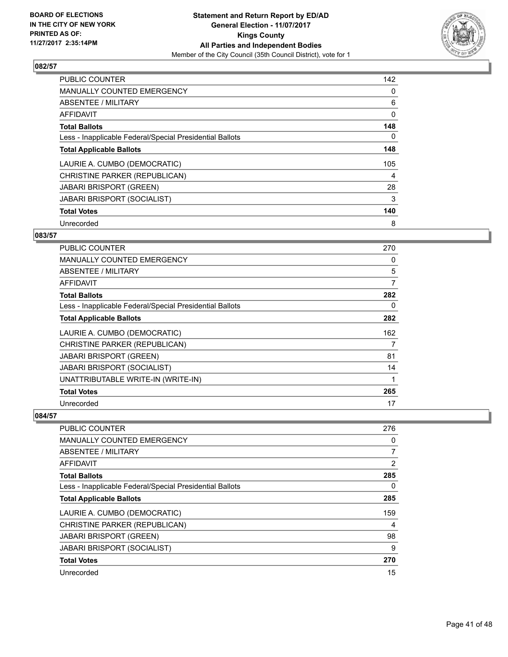

| <b>PUBLIC COUNTER</b>                                    | 142 |
|----------------------------------------------------------|-----|
| <b>MANUALLY COUNTED EMERGENCY</b>                        | 0   |
| ABSENTEE / MILITARY                                      | 6   |
| <b>AFFIDAVIT</b>                                         | 0   |
| <b>Total Ballots</b>                                     | 148 |
| Less - Inapplicable Federal/Special Presidential Ballots | 0   |
| <b>Total Applicable Ballots</b>                          | 148 |
| LAURIE A. CUMBO (DEMOCRATIC)                             | 105 |
| CHRISTINE PARKER (REPUBLICAN)                            | 4   |
| <b>JABARI BRISPORT (GREEN)</b>                           | 28  |
| <b>JABARI BRISPORT (SOCIALIST)</b>                       | 3   |
| <b>Total Votes</b>                                       | 140 |
| Unrecorded                                               | 8   |

## **083/57**

| <b>PUBLIC COUNTER</b>                                    | 270 |
|----------------------------------------------------------|-----|
| <b>MANUALLY COUNTED EMERGENCY</b>                        | 0   |
| ABSENTEE / MILITARY                                      | 5   |
| AFFIDAVIT                                                | 7   |
| <b>Total Ballots</b>                                     | 282 |
| Less - Inapplicable Federal/Special Presidential Ballots | 0   |
| <b>Total Applicable Ballots</b>                          | 282 |
| LAURIE A. CUMBO (DEMOCRATIC)                             | 162 |
| CHRISTINE PARKER (REPUBLICAN)                            | 7   |
| <b>JABARI BRISPORT (GREEN)</b>                           | 81  |
| <b>JABARI BRISPORT (SOCIALIST)</b>                       | 14  |
| UNATTRIBUTABLE WRITE-IN (WRITE-IN)                       | 1   |
| <b>Total Votes</b>                                       | 265 |
| Unrecorded                                               | 17  |

| <b>PUBLIC COUNTER</b>                                    | 276            |
|----------------------------------------------------------|----------------|
| <b>MANUALLY COUNTED EMERGENCY</b>                        | 0              |
| ABSENTEE / MILITARY                                      | $\overline{7}$ |
| AFFIDAVIT                                                | $\overline{2}$ |
| <b>Total Ballots</b>                                     | 285            |
| Less - Inapplicable Federal/Special Presidential Ballots | 0              |
| <b>Total Applicable Ballots</b>                          | 285            |
| LAURIE A. CUMBO (DEMOCRATIC)                             | 159            |
| CHRISTINE PARKER (REPUBLICAN)                            | 4              |
| <b>JABARI BRISPORT (GREEN)</b>                           | 98             |
| JABARI BRISPORT (SOCIALIST)                              | 9              |
| <b>Total Votes</b>                                       | 270            |
| Unrecorded                                               | 15             |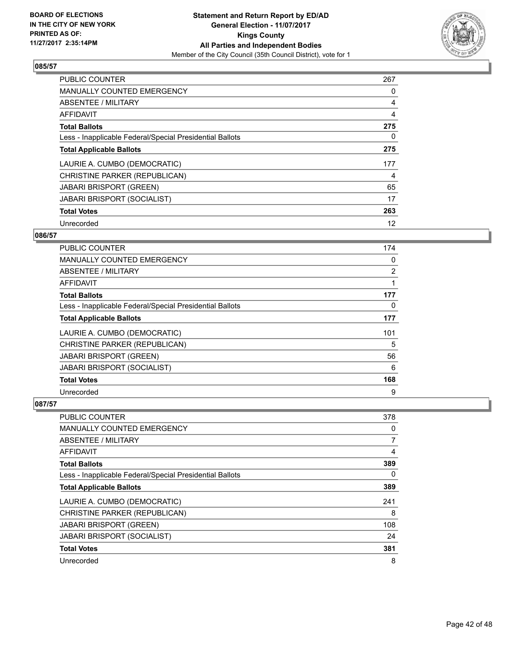

| <b>PUBLIC COUNTER</b>                                    | 267 |
|----------------------------------------------------------|-----|
| <b>MANUALLY COUNTED EMERGENCY</b>                        | 0   |
| ABSENTEE / MILITARY                                      | 4   |
| <b>AFFIDAVIT</b>                                         | 4   |
| <b>Total Ballots</b>                                     | 275 |
| Less - Inapplicable Federal/Special Presidential Ballots | 0   |
| <b>Total Applicable Ballots</b>                          | 275 |
| LAURIE A. CUMBO (DEMOCRATIC)                             | 177 |
| CHRISTINE PARKER (REPUBLICAN)                            | 4   |
| <b>JABARI BRISPORT (GREEN)</b>                           | 65  |
| <b>JABARI BRISPORT (SOCIALIST)</b>                       | 17  |
| <b>Total Votes</b>                                       | 263 |
| Unrecorded                                               | 12  |

# **086/57**

| PUBLIC COUNTER                                           | 174            |
|----------------------------------------------------------|----------------|
| <b>MANUALLY COUNTED EMERGENCY</b>                        | 0              |
| ABSENTEE / MILITARY                                      | $\overline{2}$ |
| AFFIDAVIT                                                |                |
| <b>Total Ballots</b>                                     | 177            |
| Less - Inapplicable Federal/Special Presidential Ballots | 0              |
| <b>Total Applicable Ballots</b>                          | 177            |
| LAURIE A. CUMBO (DEMOCRATIC)                             | 101            |
| CHRISTINE PARKER (REPUBLICAN)                            | 5              |
| JABARI BRISPORT (GREEN)                                  | 56             |
| <b>JABARI BRISPORT (SOCIALIST)</b>                       | 6              |
| <b>Total Votes</b>                                       | 168            |
| Unrecorded                                               | 9              |

| <b>PUBLIC COUNTER</b>                                    | 378 |
|----------------------------------------------------------|-----|
| <b>MANUALLY COUNTED EMERGENCY</b>                        | 0   |
| ABSENTEE / MILITARY                                      | 7   |
| AFFIDAVIT                                                | 4   |
| <b>Total Ballots</b>                                     | 389 |
| Less - Inapplicable Federal/Special Presidential Ballots | 0   |
| <b>Total Applicable Ballots</b>                          | 389 |
| LAURIE A. CUMBO (DEMOCRATIC)                             | 241 |
| CHRISTINE PARKER (REPUBLICAN)                            | 8   |
| <b>JABARI BRISPORT (GREEN)</b>                           | 108 |
| JABARI BRISPORT (SOCIALIST)                              | 24  |
| <b>Total Votes</b>                                       | 381 |
| Unrecorded                                               | 8   |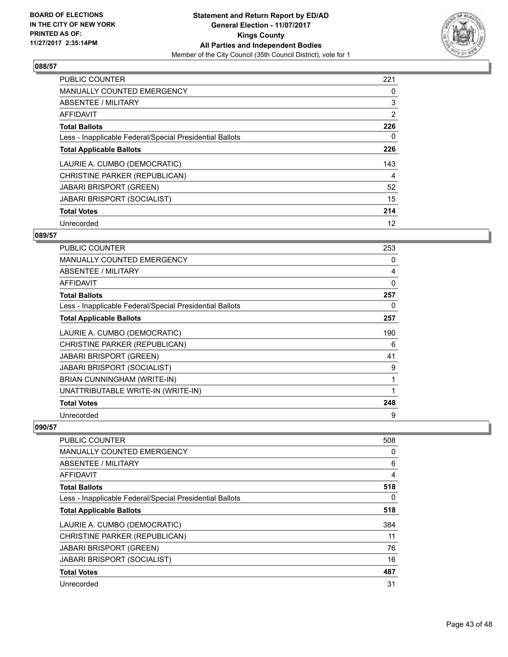

| <b>PUBLIC COUNTER</b>                                    | 221            |
|----------------------------------------------------------|----------------|
| <b>MANUALLY COUNTED EMERGENCY</b>                        | 0              |
| ABSENTEE / MILITARY                                      | 3              |
| AFFIDAVIT                                                | $\overline{2}$ |
| <b>Total Ballots</b>                                     | 226            |
| Less - Inapplicable Federal/Special Presidential Ballots | 0              |
| <b>Total Applicable Ballots</b>                          | 226            |
| LAURIE A. CUMBO (DEMOCRATIC)                             | 143            |
| CHRISTINE PARKER (REPUBLICAN)                            | 4              |
| <b>JABARI BRISPORT (GREEN)</b>                           | 52             |
| <b>JABARI BRISPORT (SOCIALIST)</b>                       | 15             |
| <b>Total Votes</b>                                       | 214            |
| Unrecorded                                               | 12             |

## **089/57**

| <b>PUBLIC COUNTER</b>                                    | 253 |
|----------------------------------------------------------|-----|
| <b>MANUALLY COUNTED EMERGENCY</b>                        | 0   |
| <b>ABSENTEE / MILITARY</b>                               | 4   |
| AFFIDAVIT                                                | 0   |
| <b>Total Ballots</b>                                     | 257 |
| Less - Inapplicable Federal/Special Presidential Ballots | 0   |
| <b>Total Applicable Ballots</b>                          | 257 |
| LAURIE A. CUMBO (DEMOCRATIC)                             | 190 |
| CHRISTINE PARKER (REPUBLICAN)                            | 6   |
| <b>JABARI BRISPORT (GREEN)</b>                           | 41  |
| <b>JABARI BRISPORT (SOCIALIST)</b>                       | 9   |
| BRIAN CUNNINGHAM (WRITE-IN)                              | 1   |
| UNATTRIBUTABLE WRITE-IN (WRITE-IN)                       |     |
| <b>Total Votes</b>                                       | 248 |
| Unrecorded                                               | 9   |

| <b>PUBLIC COUNTER</b>                                    | 508      |
|----------------------------------------------------------|----------|
| <b>MANUALLY COUNTED EMERGENCY</b>                        | 0        |
| ABSENTEE / MILITARY                                      | 6        |
| AFFIDAVIT                                                | 4        |
| <b>Total Ballots</b>                                     | 518      |
| Less - Inapplicable Federal/Special Presidential Ballots | $\Omega$ |
| <b>Total Applicable Ballots</b>                          | 518      |
| LAURIE A. CUMBO (DEMOCRATIC)                             | 384      |
| CHRISTINE PARKER (REPUBLICAN)                            | 11       |
| <b>JABARI BRISPORT (GREEN)</b>                           | 76       |
| <b>JABARI BRISPORT (SOCIALIST)</b>                       | 16       |
| <b>Total Votes</b>                                       | 487      |
| Unrecorded                                               | 31       |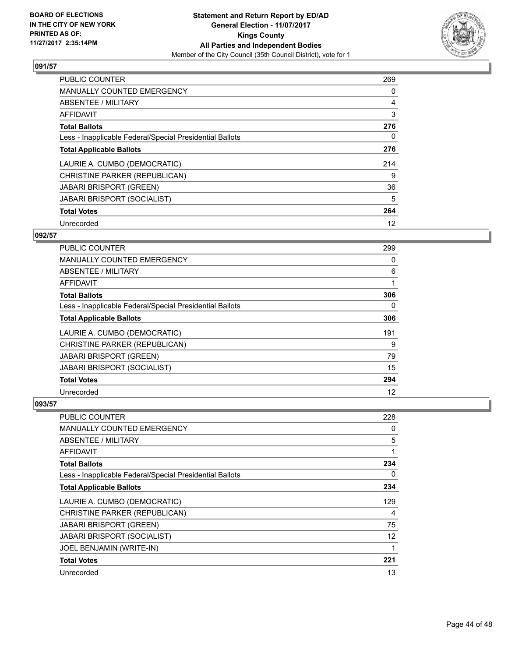

| <b>PUBLIC COUNTER</b>                                    | 269 |
|----------------------------------------------------------|-----|
| <b>MANUALLY COUNTED EMERGENCY</b>                        | 0   |
| <b>ABSENTEE / MILITARY</b>                               | 4   |
| <b>AFFIDAVIT</b>                                         | 3   |
| <b>Total Ballots</b>                                     | 276 |
| Less - Inapplicable Federal/Special Presidential Ballots | 0   |
| <b>Total Applicable Ballots</b>                          | 276 |
| LAURIE A. CUMBO (DEMOCRATIC)                             | 214 |
| CHRISTINE PARKER (REPUBLICAN)                            | 9   |
| <b>JABARI BRISPORT (GREEN)</b>                           | 36  |
| <b>JABARI BRISPORT (SOCIALIST)</b>                       | 5   |
| <b>Total Votes</b>                                       | 264 |
| Unrecorded                                               | 12  |

# **092/57**

| <b>PUBLIC COUNTER</b>                                    | 299 |
|----------------------------------------------------------|-----|
| <b>MANUALLY COUNTED EMERGENCY</b>                        | 0   |
| ABSENTEE / MILITARY                                      | 6   |
| AFFIDAVIT                                                |     |
| <b>Total Ballots</b>                                     | 306 |
| Less - Inapplicable Federal/Special Presidential Ballots | 0   |
| <b>Total Applicable Ballots</b>                          | 306 |
| LAURIE A. CUMBO (DEMOCRATIC)                             | 191 |
| CHRISTINE PARKER (REPUBLICAN)                            | 9   |
| <b>JABARI BRISPORT (GREEN)</b>                           | 79  |
| <b>JABARI BRISPORT (SOCIALIST)</b>                       | 15  |
| <b>Total Votes</b>                                       | 294 |
| Unrecorded                                               | 12  |

| PUBLIC COUNTER                                           | 228 |
|----------------------------------------------------------|-----|
| MANUALLY COUNTED EMERGENCY                               | 0   |
| ABSENTEE / MILITARY                                      | 5   |
| AFFIDAVIT                                                | 1   |
| <b>Total Ballots</b>                                     | 234 |
| Less - Inapplicable Federal/Special Presidential Ballots | 0   |
| <b>Total Applicable Ballots</b>                          | 234 |
| LAURIE A. CUMBO (DEMOCRATIC)                             | 129 |
| CHRISTINE PARKER (REPUBLICAN)                            | 4   |
| <b>JABARI BRISPORT (GREEN)</b>                           | 75  |
| <b>JABARI BRISPORT (SOCIALIST)</b>                       | 12  |
| JOEL BENJAMIN (WRITE-IN)                                 |     |
| <b>Total Votes</b>                                       | 221 |
| Unrecorded                                               | 13  |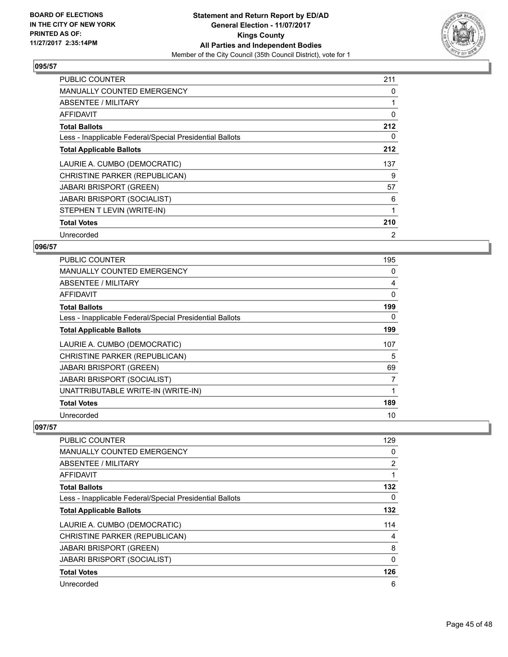

| <b>PUBLIC COUNTER</b>                                    | 211 |
|----------------------------------------------------------|-----|
| <b>MANUALLY COUNTED EMERGENCY</b>                        | 0   |
| ABSENTEE / MILITARY                                      |     |
| AFFIDAVIT                                                | 0   |
| <b>Total Ballots</b>                                     | 212 |
| Less - Inapplicable Federal/Special Presidential Ballots | 0   |
| <b>Total Applicable Ballots</b>                          | 212 |
| LAURIE A. CUMBO (DEMOCRATIC)                             | 137 |
| CHRISTINE PARKER (REPUBLICAN)                            | 9   |
|                                                          |     |
| <b>JABARI BRISPORT (GREEN)</b>                           | 57  |
| <b>JABARI BRISPORT (SOCIALIST)</b>                       | 6   |
| STEPHEN T LEVIN (WRITE-IN)                               |     |
| <b>Total Votes</b>                                       | 210 |

# **096/57**

| <b>PUBLIC COUNTER</b>                                    | 195          |
|----------------------------------------------------------|--------------|
| MANUALLY COUNTED EMERGENCY                               | 0            |
| ABSENTEE / MILITARY                                      | 4            |
| AFFIDAVIT                                                | $\mathbf{0}$ |
| <b>Total Ballots</b>                                     | 199          |
| Less - Inapplicable Federal/Special Presidential Ballots | 0            |
| <b>Total Applicable Ballots</b>                          | 199          |
| LAURIE A. CUMBO (DEMOCRATIC)                             | 107          |
| CHRISTINE PARKER (REPUBLICAN)                            | 5            |
| <b>JABARI BRISPORT (GREEN)</b>                           | 69           |
| <b>JABARI BRISPORT (SOCIALIST)</b>                       | 7            |
| UNATTRIBUTABLE WRITE-IN (WRITE-IN)                       |              |
| <b>Total Votes</b>                                       | 189          |
| Unrecorded                                               | 10           |

| <b>PUBLIC COUNTER</b>                                    | 129          |
|----------------------------------------------------------|--------------|
|                                                          |              |
| <b>MANUALLY COUNTED EMERGENCY</b>                        | 0            |
| ABSENTEE / MILITARY                                      | 2            |
| AFFIDAVIT                                                | 1            |
| <b>Total Ballots</b>                                     | 132          |
| Less - Inapplicable Federal/Special Presidential Ballots | 0            |
| <b>Total Applicable Ballots</b>                          | 132          |
| LAURIE A. CUMBO (DEMOCRATIC)                             | 114          |
| CHRISTINE PARKER (REPUBLICAN)                            | 4            |
| <b>JABARI BRISPORT (GREEN)</b>                           | 8            |
| <b>JABARI BRISPORT (SOCIALIST)</b>                       | $\mathbf{0}$ |
| <b>Total Votes</b>                                       | 126          |
| Unrecorded                                               | 6            |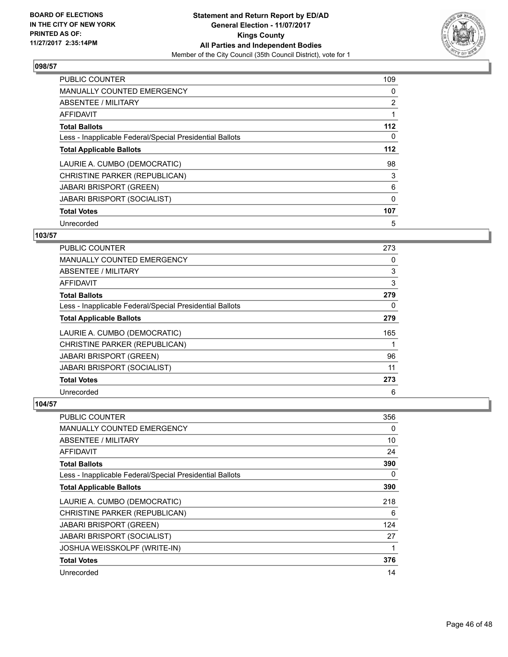

| <b>PUBLIC COUNTER</b>                                    | 109            |
|----------------------------------------------------------|----------------|
| <b>MANUALLY COUNTED EMERGENCY</b>                        | 0              |
| ABSENTEE / MILITARY                                      | $\overline{2}$ |
| AFFIDAVIT                                                |                |
| <b>Total Ballots</b>                                     | 112            |
| Less - Inapplicable Federal/Special Presidential Ballots | 0              |
| <b>Total Applicable Ballots</b>                          | $112$          |
| LAURIE A. CUMBO (DEMOCRATIC)                             | 98             |
| CHRISTINE PARKER (REPUBLICAN)                            | 3              |
| <b>JABARI BRISPORT (GREEN)</b>                           | 6              |
| <b>JABARI BRISPORT (SOCIALIST)</b>                       | $\Omega$       |
| <b>Total Votes</b>                                       | 107            |
| Unrecorded                                               | 5              |

# **103/57**

| <b>PUBLIC COUNTER</b>                                    | 273 |
|----------------------------------------------------------|-----|
| <b>MANUALLY COUNTED EMERGENCY</b>                        | 0   |
| ABSENTEE / MILITARY                                      | 3   |
| AFFIDAVIT                                                | 3   |
| <b>Total Ballots</b>                                     | 279 |
| Less - Inapplicable Federal/Special Presidential Ballots | 0   |
| <b>Total Applicable Ballots</b>                          | 279 |
| LAURIE A. CUMBO (DEMOCRATIC)                             | 165 |
| CHRISTINE PARKER (REPUBLICAN)                            |     |
| <b>JABARI BRISPORT (GREEN)</b>                           | 96  |
| <b>JABARI BRISPORT (SOCIALIST)</b>                       | 11  |
| <b>Total Votes</b>                                       | 273 |
| Unrecorded                                               | 6   |

| <b>PUBLIC COUNTER</b>                                    | 356 |
|----------------------------------------------------------|-----|
| MANUALLY COUNTED EMERGENCY                               | 0   |
| ABSENTEE / MILITARY                                      | 10  |
| AFFIDAVIT                                                | 24  |
| <b>Total Ballots</b>                                     | 390 |
| Less - Inapplicable Federal/Special Presidential Ballots | 0   |
| <b>Total Applicable Ballots</b>                          | 390 |
| LAURIE A. CUMBO (DEMOCRATIC)                             | 218 |
| CHRISTINE PARKER (REPUBLICAN)                            | 6   |
| <b>JABARI BRISPORT (GREEN)</b>                           | 124 |
| <b>JABARI BRISPORT (SOCIALIST)</b>                       | 27  |
| JOSHUA WEISSKOLPF (WRITE-IN)                             | 1   |
| <b>Total Votes</b>                                       | 376 |
| Unrecorded                                               | 14  |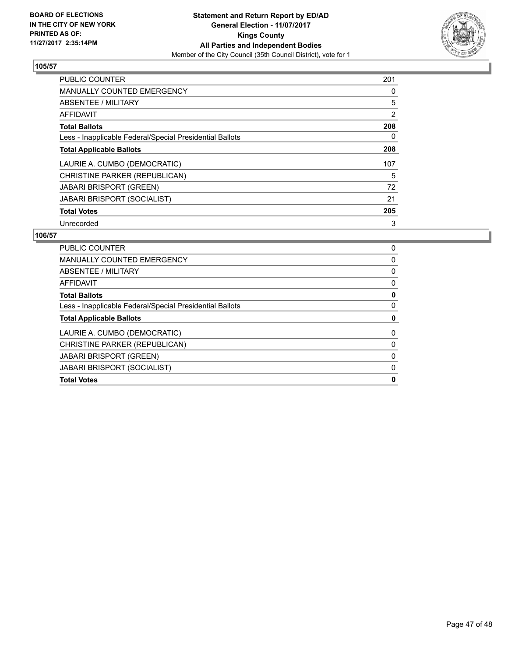

| <b>PUBLIC COUNTER</b>                                    | 201 |
|----------------------------------------------------------|-----|
| <b>MANUALLY COUNTED EMERGENCY</b>                        | 0   |
| ABSENTEE / MILITARY                                      | 5   |
| <b>AFFIDAVIT</b>                                         | 2   |
| <b>Total Ballots</b>                                     | 208 |
| Less - Inapplicable Federal/Special Presidential Ballots | 0   |
| <b>Total Applicable Ballots</b>                          | 208 |
| LAURIE A. CUMBO (DEMOCRATIC)                             | 107 |
| CHRISTINE PARKER (REPUBLICAN)                            | 5   |
| <b>JABARI BRISPORT (GREEN)</b>                           | 72  |
| <b>JABARI BRISPORT (SOCIALIST)</b>                       | 21  |
| <b>Total Votes</b>                                       | 205 |
| Unrecorded                                               | 3   |

| <b>PUBLIC COUNTER</b>                                    | 0 |
|----------------------------------------------------------|---|
| <b>MANUALLY COUNTED EMERGENCY</b>                        | 0 |
| ABSENTEE / MILITARY                                      | 0 |
| AFFIDAVIT                                                | 0 |
| <b>Total Ballots</b>                                     | 0 |
| Less - Inapplicable Federal/Special Presidential Ballots | 0 |
| <b>Total Applicable Ballots</b>                          | 0 |
| LAURIE A. CUMBO (DEMOCRATIC)                             | 0 |
| CHRISTINE PARKER (REPUBLICAN)                            | 0 |
| <b>JABARI BRISPORT (GREEN)</b>                           | 0 |
| <b>JABARI BRISPORT (SOCIALIST)</b>                       | 0 |
| <b>Total Votes</b>                                       | 0 |